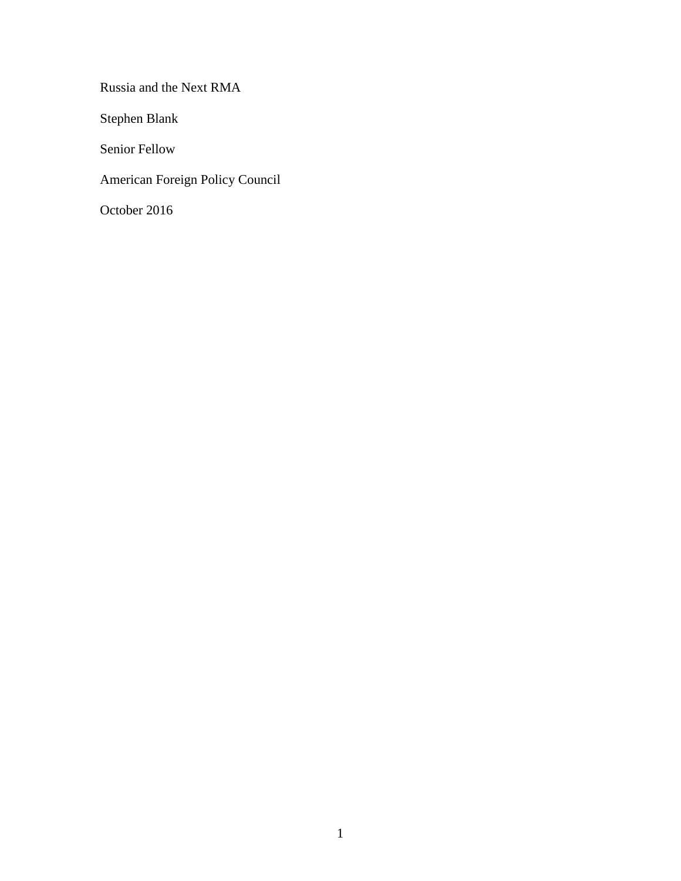Russia and the Next RMA

Stephen Blank

Senior Fellow

American Foreign Policy Council

October 2016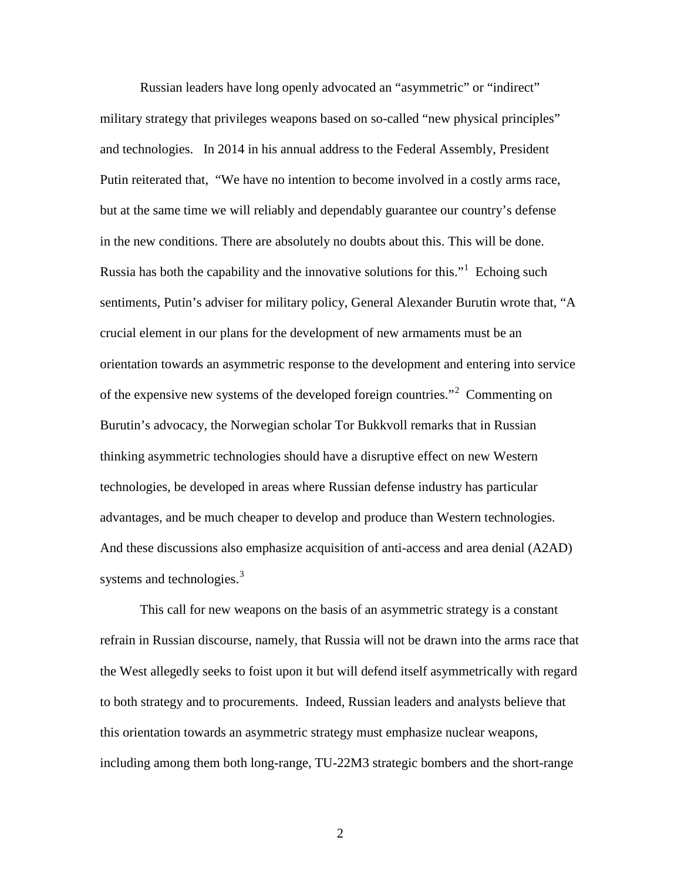Russian leaders have long openly advocated an "asymmetric" or "indirect" military strategy that privileges weapons based on so-called "new physical principles" and technologies. In 2014 in his annual address to the Federal Assembly, President Putin reiterated that, "We have no intention to become involved in a costly arms race, but at the same time we will reliably and dependably guarantee our country's defense in the new conditions. There are absolutely no doubts about this. This will be done. Russia has both the capability and the innovative solutions for this."<sup>[1](#page-9-0)</sup> Echoing such sentiments, Putin's adviser for military policy, General Alexander Burutin wrote that, "A crucial element in our plans for the development of new armaments must be an orientation towards an asymmetric response to the development and entering into service of the expensive new systems of the developed foreign countries."<sup>[2](#page-9-1)</sup> Commenting on Burutin's advocacy, the Norwegian scholar Tor Bukkvoll remarks that in Russian thinking asymmetric technologies should have a disruptive effect on new Western technologies, be developed in areas where Russian defense industry has particular advantages, and be much cheaper to develop and produce than Western technologies. And these discussions also emphasize acquisition of anti-access and area denial (A2AD) systems and technologies.<sup>[3](#page-9-2)</sup>

This call for new weapons on the basis of an asymmetric strategy is a constant refrain in Russian discourse, namely, that Russia will not be drawn into the arms race that the West allegedly seeks to foist upon it but will defend itself asymmetrically with regard to both strategy and to procurements. Indeed, Russian leaders and analysts believe that this orientation towards an asymmetric strategy must emphasize nuclear weapons, including among them both long-range, TU-22M3 strategic bombers and the short-range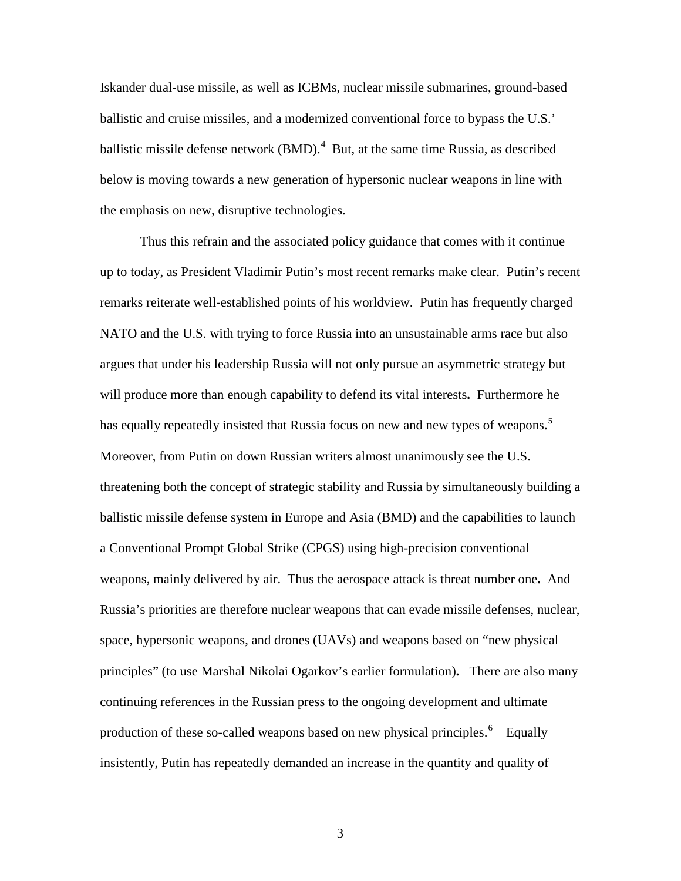Iskander dual-use missile, as well as ICBMs, nuclear missile submarines, ground-based ballistic and cruise missiles, and a modernized conventional force to bypass the U.S.' ballistic missile defense network (BMD).<sup>[4](#page-10-0)</sup> But, at the same time Russia, as described below is moving towards a new generation of hypersonic nuclear weapons in line with the emphasis on new, disruptive technologies.

Thus this refrain and the associated policy guidance that comes with it continue up to today, as President Vladimir Putin's most recent remarks make clear. Putin's recent remarks reiterate well-established points of his worldview. Putin has frequently charged NATO and the U.S. with trying to force Russia into an unsustainable arms race but also argues that under his leadership Russia will not only pursue an asymmetric strategy but will produce more than enough capability to defend its vital interests**.** Furthermore he has equally repeatedly insisted that Russia focus on new and new types of weapons.<sup>[5](#page-10-1)</sup> Moreover, from Putin on down Russian writers almost unanimously see the U.S. threatening both the concept of strategic stability and Russia by simultaneously building a ballistic missile defense system in Europe and Asia (BMD) and the capabilities to launch a Conventional Prompt Global Strike (CPGS) using high-precision conventional weapons, mainly delivered by air. Thus the aerospace attack is threat number one**.** And Russia's priorities are therefore nuclear weapons that can evade missile defenses, nuclear, space, hypersonic weapons, and drones (UAVs) and weapons based on "new physical principles" (to use Marshal Nikolai Ogarkov's earlier formulation)**.** There are also many continuing references in the Russian press to the ongoing development and ultimate production of these so-called weapons based on new physical principles.<sup>[6](#page-10-2)</sup> Equally insistently, Putin has repeatedly demanded an increase in the quantity and quality of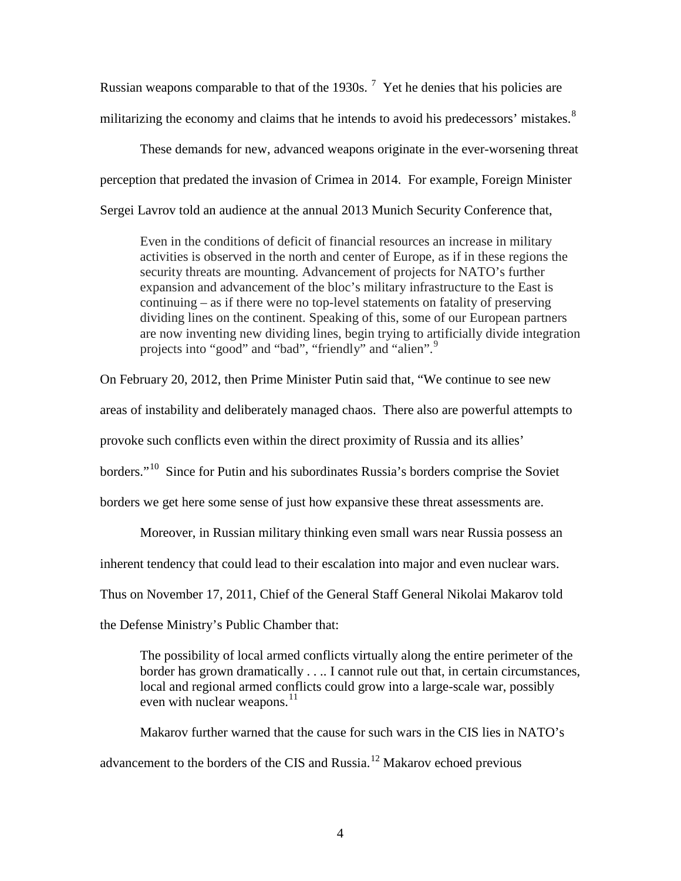Russian weapons comparable to that of the 1930s.  $7$  Yet he denies that his policies are militarizing the economy and claims that he intends to avoid his predecessors' mistakes.<sup>[8](#page-11-1)</sup>

These demands for new, advanced weapons originate in the ever-worsening threat perception that predated the invasion of Crimea in 2014. For example, Foreign Minister Sergei Lavrov told an audience at the annual 2013 Munich Security Conference that,

Even in the conditions of deficit of financial resources an increase in military activities is observed in the north and center of Europe, as if in these regions the security threats are mounting. Advancement of projects for NATO's further expansion and advancement of the bloc's military infrastructure to the East is continuing – as if there were no top-level statements on fatality of preserving dividing lines on the continent. Speaking of this, some of our European partners are now inventing new dividing lines, begin trying to artificially divide integration projects into "good" and "bad", "friendly" and "alien".<sup>[9](#page-11-2)</sup>

On February 20, 2012, then Prime Minister Putin said that, "We continue to see new areas of instability and deliberately managed chaos. There also are powerful attempts to provoke such conflicts even within the direct proximity of Russia and its allies' borders."[10](#page-11-3) Since for Putin and his subordinates Russia's borders comprise the Soviet borders we get here some sense of just how expansive these threat assessments are.

Moreover, in Russian military thinking even small wars near Russia possess an

inherent tendency that could lead to their escalation into major and even nuclear wars.

Thus on November 17, 2011, Chief of the General Staff General Nikolai Makarov told

the Defense Ministry's Public Chamber that:

The possibility of local armed conflicts virtually along the entire perimeter of the border has grown dramatically . . .. I cannot rule out that, in certain circumstances, local and regional armed conflicts could grow into a large-scale war, possibly even with nuclear weapons. $11$ 

Makarov further warned that the cause for such wars in the CIS lies in NATO's advancement to the borders of the CIS and Russia.<sup>[12](#page-11-5)</sup> Makarov echoed previous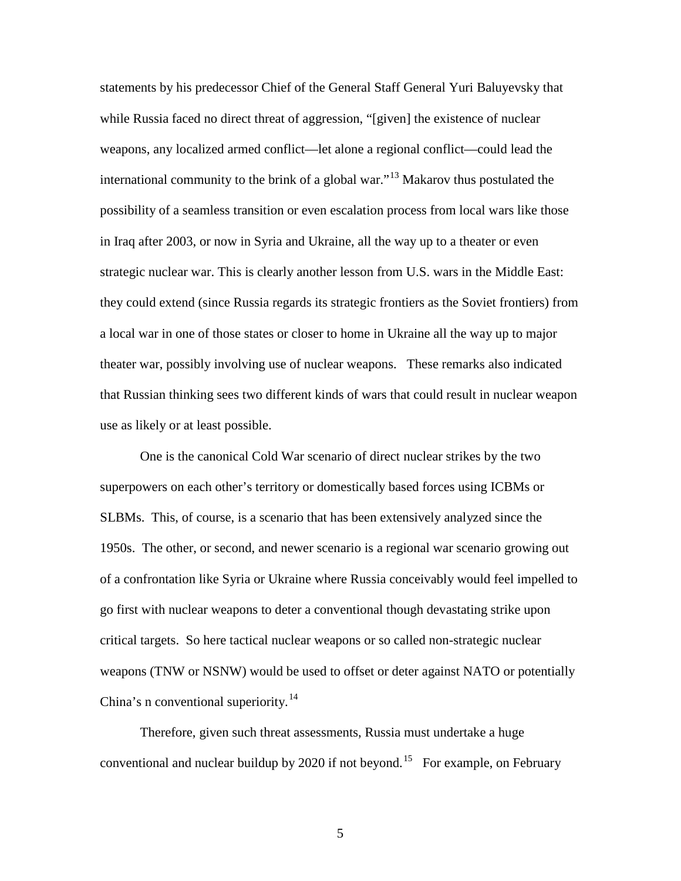statements by his predecessor Chief of the General Staff General Yuri Baluyevsky that while Russia faced no direct threat of aggression, "[given] the existence of nuclear weapons, any localized armed conflict—let alone a regional conflict—could lead the international community to the brink of a global war."[13](#page-12-0) Makarov thus postulated the possibility of a seamless transition or even escalation process from local wars like those in Iraq after 2003, or now in Syria and Ukraine, all the way up to a theater or even strategic nuclear war. This is clearly another lesson from U.S. wars in the Middle East: they could extend (since Russia regards its strategic frontiers as the Soviet frontiers) from a local war in one of those states or closer to home in Ukraine all the way up to major theater war, possibly involving use of nuclear weapons. These remarks also indicated that Russian thinking sees two different kinds of wars that could result in nuclear weapon use as likely or at least possible.

One is the canonical Cold War scenario of direct nuclear strikes by the two superpowers on each other's territory or domestically based forces using ICBMs or SLBMs. This, of course, is a scenario that has been extensively analyzed since the 1950s. The other, or second, and newer scenario is a regional war scenario growing out of a confrontation like Syria or Ukraine where Russia conceivably would feel impelled to go first with nuclear weapons to deter a conventional though devastating strike upon critical targets. So here tactical nuclear weapons or so called non-strategic nuclear weapons (TNW or NSNW) would be used to offset or deter against NATO or potentially China's n conventional superiority.<sup>[14](#page-12-1)</sup>

Therefore, given such threat assessments, Russia must undertake a huge conventional and nuclear buildup by 2020 if not beyond.<sup>[15](#page-12-2)</sup> For example, on February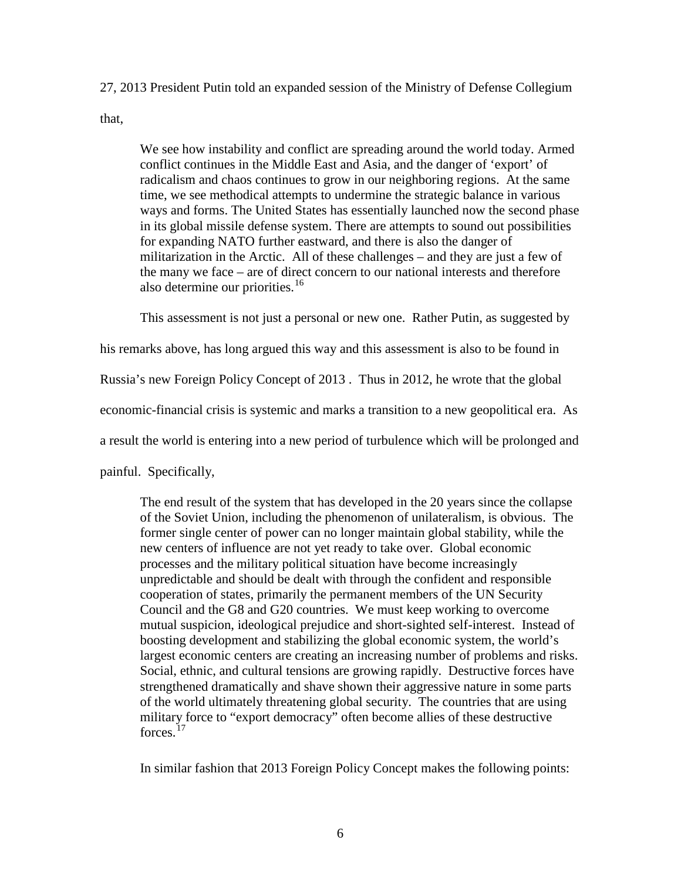27, 2013 President Putin told an expanded session of the Ministry of Defense Collegium

that,

We see how instability and conflict are spreading around the world today. Armed conflict continues in the Middle East and Asia, and the danger of 'export' of radicalism and chaos continues to grow in our neighboring regions. At the same time, we see methodical attempts to undermine the strategic balance in various ways and forms. The United States has essentially launched now the second phase in its global missile defense system. There are attempts to sound out possibilities for expanding NATO further eastward, and there is also the danger of militarization in the Arctic. All of these challenges – and they are just a few of the many we face – are of direct concern to our national interests and therefore also determine our priorities.<sup>[16](#page-13-0)</sup>

This assessment is not just a personal or new one. Rather Putin, as suggested by

his remarks above, has long argued this way and this assessment is also to be found in

Russia's new Foreign Policy Concept of 2013 . Thus in 2012, he wrote that the global

economic-financial crisis is systemic and marks a transition to a new geopolitical era. As

a result the world is entering into a new period of turbulence which will be prolonged and

painful. Specifically,

The end result of the system that has developed in the 20 years since the collapse of the Soviet Union, including the phenomenon of unilateralism, is obvious. The former single center of power can no longer maintain global stability, while the new centers of influence are not yet ready to take over. Global economic processes and the military political situation have become increasingly unpredictable and should be dealt with through the confident and responsible cooperation of states, primarily the permanent members of the UN Security Council and the G8 and G20 countries. We must keep working to overcome mutual suspicion, ideological prejudice and short-sighted self-interest. Instead of boosting development and stabilizing the global economic system, the world's largest economic centers are creating an increasing number of problems and risks. Social, ethnic, and cultural tensions are growing rapidly. Destructive forces have strengthened dramatically and shave shown their aggressive nature in some parts of the world ultimately threatening global security. The countries that are using military force to "export democracy" often become allies of these destructive forces<sup>[17](#page-13-1)</sup>

In similar fashion that 2013 Foreign Policy Concept makes the following points: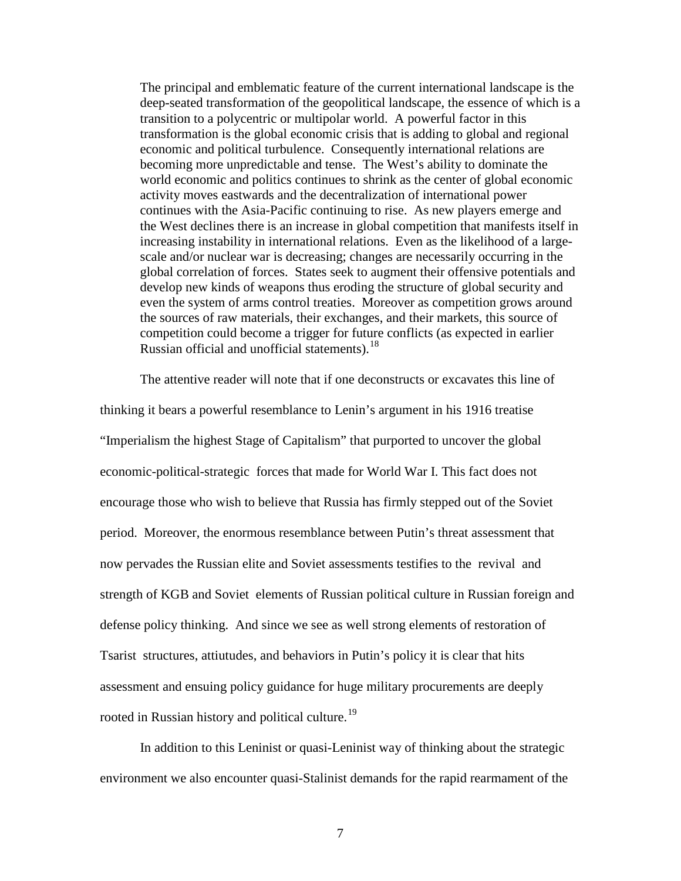The principal and emblematic feature of the current international landscape is the deep-seated transformation of the geopolitical landscape, the essence of which is a transition to a polycentric or multipolar world. A powerful factor in this transformation is the global economic crisis that is adding to global and regional economic and political turbulence. Consequently international relations are becoming more unpredictable and tense. The West's ability to dominate the world economic and politics continues to shrink as the center of global economic activity moves eastwards and the decentralization of international power continues with the Asia-Pacific continuing to rise. As new players emerge and the West declines there is an increase in global competition that manifests itself in increasing instability in international relations. Even as the likelihood of a largescale and/or nuclear war is decreasing; changes are necessarily occurring in the global correlation of forces. States seek to augment their offensive potentials and develop new kinds of weapons thus eroding the structure of global security and even the system of arms control treaties. Moreover as competition grows around the sources of raw materials, their exchanges, and their markets, this source of competition could become a trigger for future conflicts (as expected in earlier Russian official and unofficial statements).<sup>18</sup>

The attentive reader will note that if one deconstructs or excavates this line of thinking it bears a powerful resemblance to Lenin's argument in his 1916 treatise "Imperialism the highest Stage of Capitalism" that purported to uncover the global economic-political-strategic forces that made for World War I. This fact does not encourage those who wish to believe that Russia has firmly stepped out of the Soviet period. Moreover, the enormous resemblance between Putin's threat assessment that now pervades the Russian elite and Soviet assessments testifies to the revival and strength of KGB and Soviet elements of Russian political culture in Russian foreign and defense policy thinking. And since we see as well strong elements of restoration of Tsarist structures, attiutudes, and behaviors in Putin's policy it is clear that hits assessment and ensuing policy guidance for huge military procurements are deeply rooted in Russian history and political culture.<sup>[19](#page-14-1)</sup>

In addition to this Leninist or quasi-Leninist way of thinking about the strategic environment we also encounter quasi-Stalinist demands for the rapid rearmament of the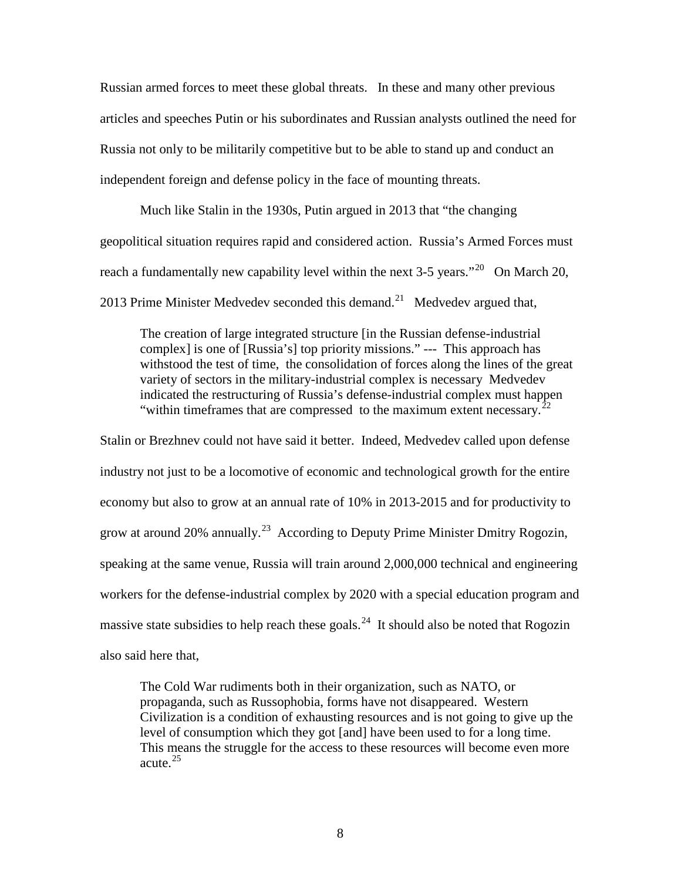Russian armed forces to meet these global threats. In these and many other previous articles and speeches Putin or his subordinates and Russian analysts outlined the need for Russia not only to be militarily competitive but to be able to stand up and conduct an independent foreign and defense policy in the face of mounting threats.

Much like Stalin in the 1930s, Putin argued in 2013 that "the changing geopolitical situation requires rapid and considered action. Russia's Armed Forces must reach a fundamentally new capability level within the next  $3-5$  years."<sup>[20](#page-15-0)</sup> On March 20, 2013 Prime Minister Medvedev seconded this demand.<sup>21</sup> Medvedev argued that,

The creation of large integrated structure [in the Russian defense-industrial complex] is one of [Russia's] top priority missions." --- This approach has withstood the test of time, the consolidation of forces along the lines of the great variety of sectors in the military-industrial complex is necessary Medvedev indicated the restructuring of Russia's defense-industrial complex must happen "within timeframes that are compressed to the maximum extent necessary.<sup>2</sup>

Stalin or Brezhnev could not have said it better. Indeed, Medvedev called upon defense industry not just to be a locomotive of economic and technological growth for the entire economy but also to grow at an annual rate of 10% in 2013-2015 and for productivity to grow at around 20% annually.<sup>23</sup> According to Deputy Prime Minister Dmitry Rogozin, speaking at the same venue, Russia will train around 2,000,000 technical and engineering workers for the defense-industrial complex by 2020 with a special education program and massive state subsidies to help reach these goals.<sup>[24](#page-15-4)</sup> It should also be noted that Rogozin also said here that,

The Cold War rudiments both in their organization, such as NATO, or propaganda, such as Russophobia, forms have not disappeared. Western Civilization is a condition of exhausting resources and is not going to give up the level of consumption which they got [and] have been used to for a long time. This means the struggle for the access to these resources will become even more acute.[25](#page-15-5)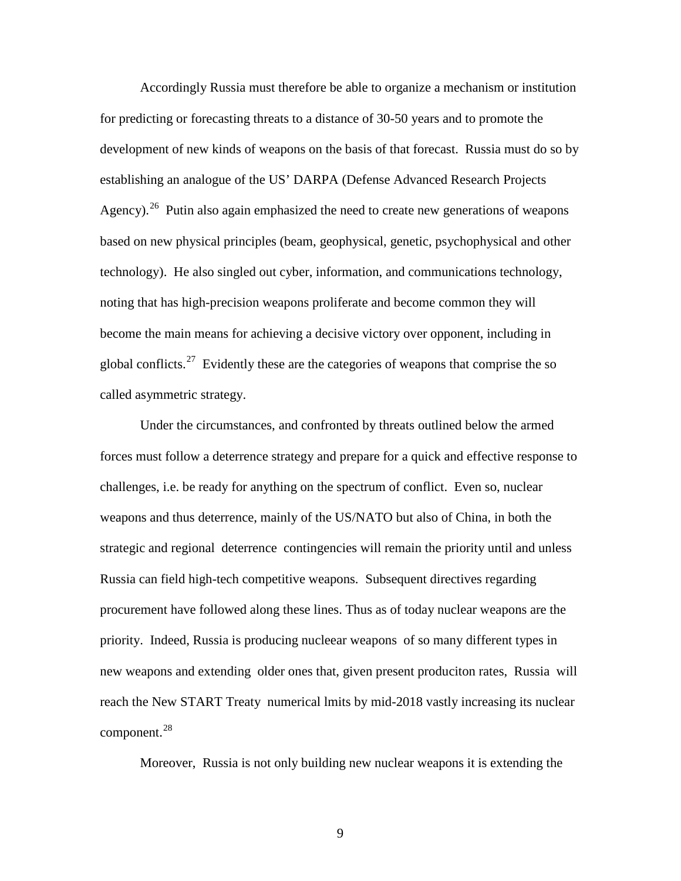Accordingly Russia must therefore be able to organize a mechanism or institution for predicting or forecasting threats to a distance of 30-50 years and to promote the development of new kinds of weapons on the basis of that forecast. Russia must do so by establishing an analogue of the US' DARPA (Defense Advanced Research Projects Agency).<sup>[26](#page-16-0)</sup> Putin also again emphasized the need to create new generations of weapons based on new physical principles (beam, geophysical, genetic, psychophysical and other technology). He also singled out cyber, information, and communications technology, noting that has high-precision weapons proliferate and become common they will become the main means for achieving a decisive victory over opponent, including in global conflicts.<sup>[27](#page-16-1)</sup> Evidently these are the categories of weapons that comprise the so called asymmetric strategy.

Under the circumstances, and confronted by threats outlined below the armed forces must follow a deterrence strategy and prepare for a quick and effective response to challenges, i.e. be ready for anything on the spectrum of conflict. Even so, nuclear weapons and thus deterrence, mainly of the US/NATO but also of China, in both the strategic and regional deterrence contingencies will remain the priority until and unless Russia can field high-tech competitive weapons. Subsequent directives regarding procurement have followed along these lines. Thus as of today nuclear weapons are the priority. Indeed, Russia is producing nucleear weapons of so many different types in new weapons and extending older ones that, given present produciton rates, Russia will reach the New START Treaty numerical lmits by mid-2018 vastly increasing its nuclear component.[28](#page-16-2)

Moreover, Russia is not only building new nuclear weapons it is extending the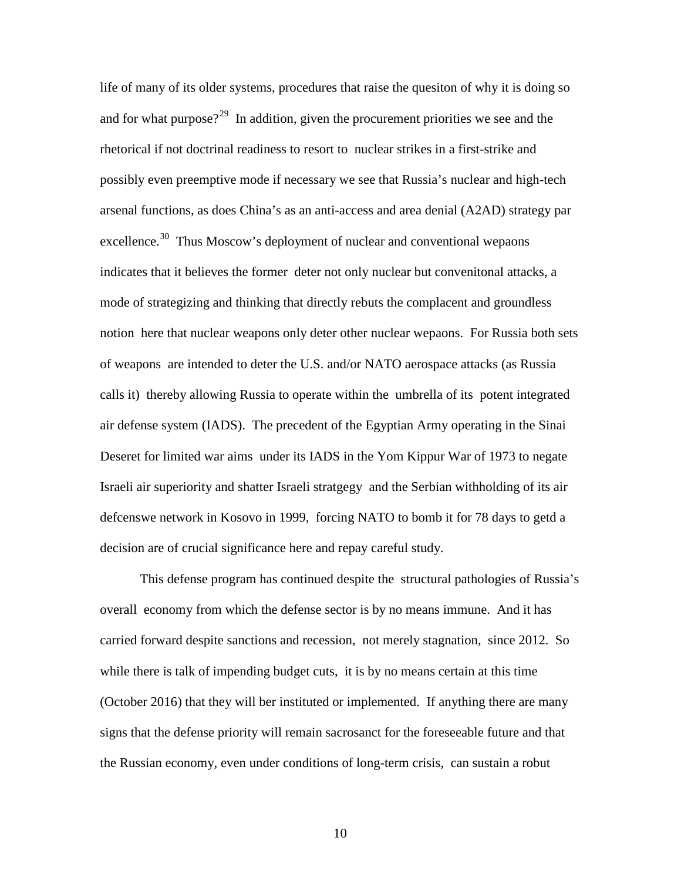<span id="page-9-2"></span><span id="page-9-1"></span><span id="page-9-0"></span>life of many of its older systems, procedures that raise the quesiton of why it is doing so and for what purpose?<sup>29</sup> In addition, given the procurement priorities we see and the rhetorical if not doctrinal readiness to resort to nuclear strikes in a first-strike and possibly even preemptive mode if necessary we see that Russia's nuclear and high-tech arsenal functions, as does China's as an anti-access and area denial (A2AD) strategy par excellence.<sup>[30](#page-17-1)</sup> Thus Moscow's deployment of nuclear and conventional wepaons indicates that it believes the former deter not only nuclear but convenitonal attacks, a mode of strategizing and thinking that directly rebuts the complacent and groundless notion here that nuclear weapons only deter other nuclear wepaons. For Russia both sets of weapons are intended to deter the U.S. and/or NATO aerospace attacks (as Russia calls it) thereby allowing Russia to operate within the umbrella of its potent integrated air defense system (IADS). The precedent of the Egyptian Army operating in the Sinai Deseret for limited war aims under its IADS in the Yom Kippur War of 1973 to negate Israeli air superiority and shatter Israeli stratgegy and the Serbian withholding of its air defcenswe network in Kosovo in 1999, forcing NATO to bomb it for 78 days to getd a decision are of crucial significance here and repay careful study.

This defense program has continued despite the structural pathologies of Russia's overall economy from which the defense sector is by no means immune. And it has carried forward despite sanctions and recession, not merely stagnation, since 2012. So while there is talk of impending budget cuts, it is by no means certain at this time (October 2016) that they will ber instituted or implemented. If anything there are many signs that the defense priority will remain sacrosanct for the foreseeable future and that the Russian economy, even under conditions of long-term crisis, can sustain a robut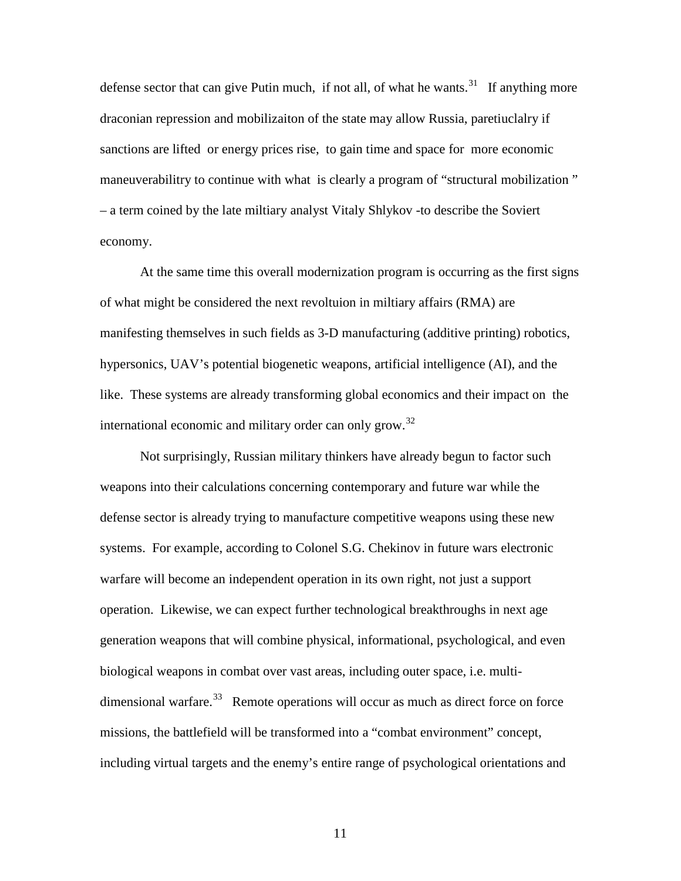defense sector that can give Putin much, if not all, of what he wants.<sup>31</sup> If anything more draconian repression and mobilizaiton of the state may allow Russia, paretiuclalry if sanctions are lifted or energy prices rise, to gain time and space for more economic maneuverabilitry to continue with what is clearly a program of "structural mobilization " – a term coined by the late miltiary analyst Vitaly Shlykov -to describe the Soviert economy.

<span id="page-10-2"></span><span id="page-10-1"></span><span id="page-10-0"></span>At the same time this overall modernization program is occurring as the first signs of what might be considered the next revoltuion in miltiary affairs (RMA) are manifesting themselves in such fields as 3-D manufacturing (additive printing) robotics, hypersonics, UAV's potential biogenetic weapons, artificial intelligence (AI), and the like. These systems are already transforming global economics and their impact on the international economic and military order can only grow.<sup>[32](#page-18-1)</sup>

Not surprisingly, Russian military thinkers have already begun to factor such weapons into their calculations concerning contemporary and future war while the defense sector is already trying to manufacture competitive weapons using these new systems. For example, according to Colonel S.G. Chekinov in future wars electronic warfare will become an independent operation in its own right, not just a support operation. Likewise, we can expect further technological breakthroughs in next age generation weapons that will combine physical, informational, psychological, and even biological weapons in combat over vast areas, including outer space, i.e. multidimensional warfare.<sup>33</sup> Remote operations will occur as much as direct force on force missions, the battlefield will be transformed into a "combat environment" concept, including virtual targets and the enemy's entire range of psychological orientations and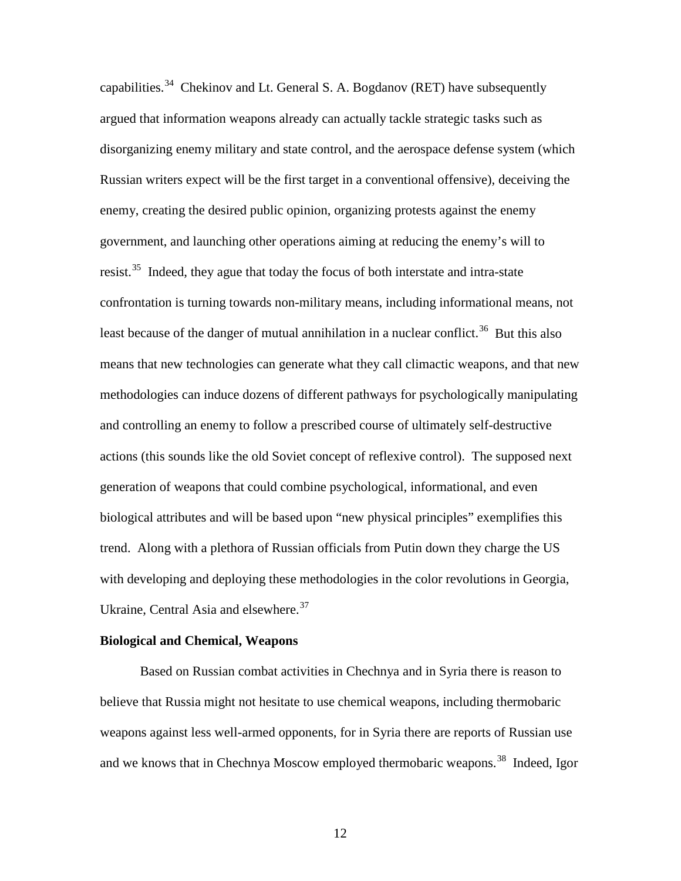capabilities.<sup>[34](#page-19-0)</sup> Chekinov and Lt. General S. A. Bogdanov (RET) have subsequently argued that information weapons already can actually tackle strategic tasks such as disorganizing enemy military and state control, and the aerospace defense system (which Russian writers expect will be the first target in a conventional offensive), deceiving the enemy, creating the desired public opinion, organizing protests against the enemy government, and launching other operations aiming at reducing the enemy's will to resist.<sup>35</sup> Indeed, they ague that today the focus of both interstate and intra-state confrontation is turning towards non-military means, including informational means, not least because of the danger of mutual annihilation in a nuclear conflict.<sup>[36](#page-19-2)</sup> But this also means that new technologies can generate what they call climactic weapons, and that new methodologies can induce dozens of different pathways for psychologically manipulating and controlling an enemy to follow a prescribed course of ultimately self-destructive actions (this sounds like the old Soviet concept of reflexive control). The supposed next generation of weapons that could combine psychological, informational, and even biological attributes and will be based upon "new physical principles" exemplifies this trend. Along with a plethora of Russian officials from Putin down they charge the US with developing and deploying these methodologies in the color revolutions in Georgia, Ukraine, Central Asia and elsewhere.<sup>[37](#page-19-3)</sup>

#### <span id="page-11-5"></span><span id="page-11-4"></span><span id="page-11-3"></span><span id="page-11-2"></span><span id="page-11-1"></span><span id="page-11-0"></span>**Biological and Chemical, Weapons**

Based on Russian combat activities in Chechnya and in Syria there is reason to believe that Russia might not hesitate to use chemical weapons, including thermobaric weapons against less well-armed opponents, for in Syria there are reports of Russian use and we knows that in Chechnya Moscow employed thermobaric weapons.<sup>[38](#page-19-4)</sup> Indeed, Igor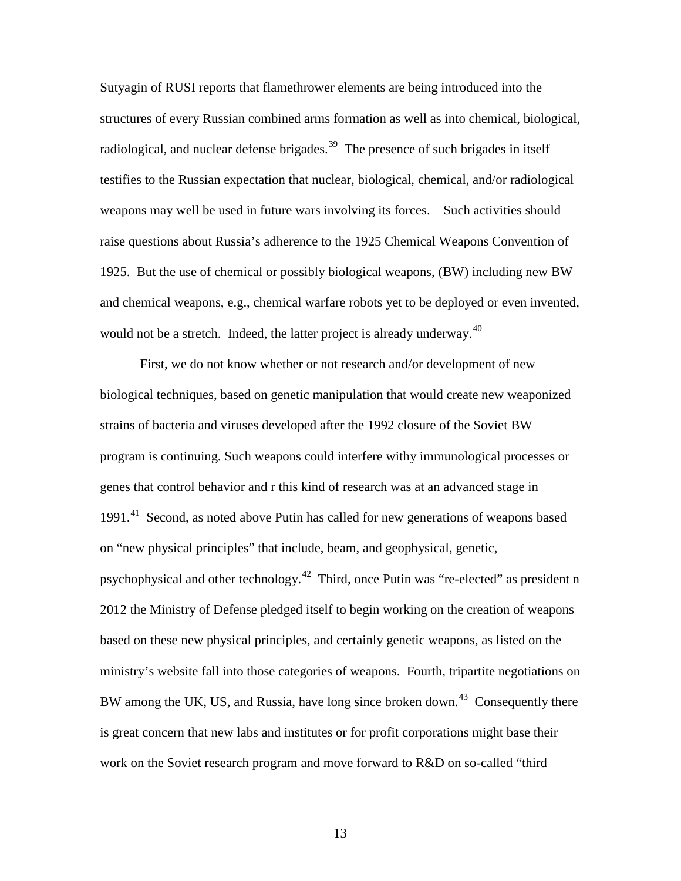Sutyagin of RUSI reports that flamethrower elements are being introduced into the structures of every Russian combined arms formation as well as into chemical, biological, radiological, and nuclear defense brigades.<sup>39</sup> The presence of such brigades in itself testifies to the Russian expectation that nuclear, biological, chemical, and/or radiological weapons may well be used in future wars involving its forces. Such activities should raise questions about Russia's adherence to the 1925 Chemical Weapons Convention of 1925. But the use of chemical or possibly biological weapons, (BW) including new BW and chemical weapons, e.g., chemical warfare robots yet to be deployed or even invented, would not be a stretch. Indeed, the latter project is already underway.<sup>[40](#page-20-1)</sup>

<span id="page-12-2"></span><span id="page-12-1"></span><span id="page-12-0"></span>First, we do not know whether or not research and/or development of new biological techniques, based on genetic manipulation that would create new weaponized strains of bacteria and viruses developed after the 1992 closure of the Soviet BW program is continuing. Such weapons could interfere withy immunological processes or genes that control behavior and r this kind of research was at an advanced stage in 1991.<sup>41</sup> Second, as noted above Putin has called for new generations of weapons based on "new physical principles" that include, beam, and geophysical, genetic, psychophysical and other technology.[42](#page-20-3) Third, once Putin was "re-elected" as president n 2012 the Ministry of Defense pledged itself to begin working on the creation of weapons based on these new physical principles, and certainly genetic weapons, as listed on the ministry's website fall into those categories of weapons. Fourth, tripartite negotiations on BW among the UK, US, and Russia, have long since broken down.<sup>43</sup> Consequently there is great concern that new labs and institutes or for profit corporations might base their work on the Soviet research program and move forward to R&D on so-called "third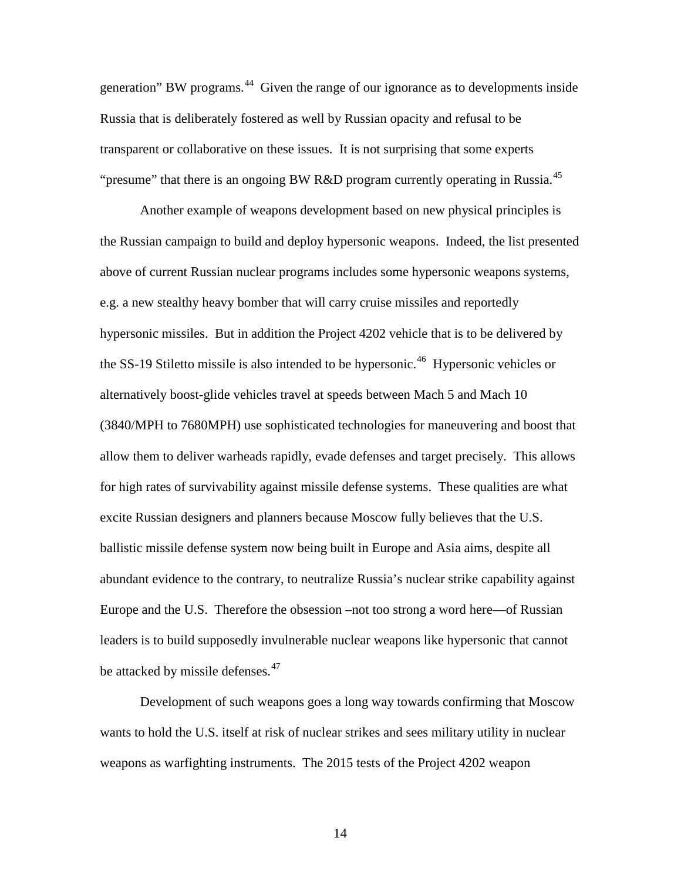<span id="page-13-1"></span><span id="page-13-0"></span>generation" BW programs.<sup>[44](#page-21-0)</sup> Given the range of our ignorance as to developments inside Russia that is deliberately fostered as well by Russian opacity and refusal to be transparent or collaborative on these issues. It is not surprising that some experts "presume" that there is an ongoing BW R&D program currently operating in Russia.<sup>[45](#page-21-1)</sup>

Another example of weapons development based on new physical principles is the Russian campaign to build and deploy hypersonic weapons. Indeed, the list presented above of current Russian nuclear programs includes some hypersonic weapons systems, e.g. a new stealthy heavy bomber that will carry cruise missiles and reportedly hypersonic missiles. But in addition the Project 4202 vehicle that is to be delivered by the SS-19 Stiletto missile is also intended to be hypersonic.<sup>[46](#page-21-2)</sup> Hypersonic vehicles or alternatively boost-glide vehicles travel at speeds between Mach 5 and Mach 10 (3840/MPH to 7680MPH) use sophisticated technologies for maneuvering and boost that allow them to deliver warheads rapidly, evade defenses and target precisely. This allows for high rates of survivability against missile defense systems. These qualities are what excite Russian designers and planners because Moscow fully believes that the U.S. ballistic missile defense system now being built in Europe and Asia aims, despite all abundant evidence to the contrary, to neutralize Russia's nuclear strike capability against Europe and the U.S. Therefore the obsession –not too strong a word here—of Russian leaders is to build supposedly invulnerable nuclear weapons like hypersonic that cannot be attacked by missile defenses.<sup>[47](#page-21-3)</sup>

Development of such weapons goes a long way towards confirming that Moscow wants to hold the U.S. itself at risk of nuclear strikes and sees military utility in nuclear weapons as warfighting instruments. The 2015 tests of the Project 4202 weapon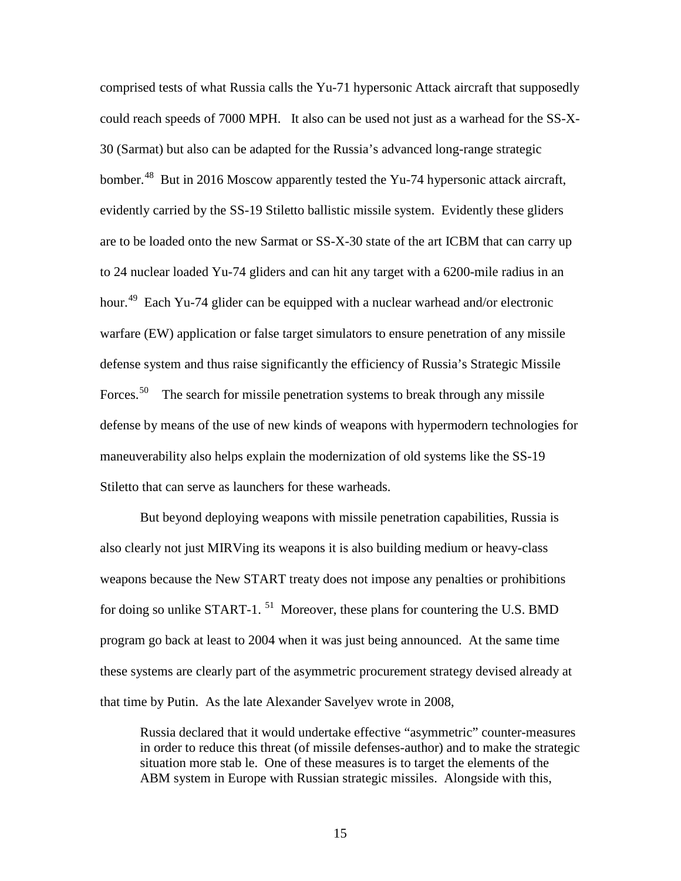<span id="page-14-1"></span><span id="page-14-0"></span>comprised tests of what Russia calls the Yu-71 hypersonic Attack aircraft that supposedly could reach speeds of 7000 MPH. It also can be used not just as a warhead for the SS-X-30 (Sarmat) but also can be adapted for the Russia's advanced long-range strategic bomber.<sup>[48](#page-22-0)</sup> But in 2016 Moscow apparently tested the Yu-74 hypersonic attack aircraft, evidently carried by the SS-19 Stiletto ballistic missile system. Evidently these gliders are to be loaded onto the new Sarmat or SS-X-30 state of the art ICBM that can carry up to 24 nuclear loaded Yu-74 gliders and can hit any target with a 6200-mile radius in an hour.<sup>49</sup> Each Yu-74 glider can be equipped with a nuclear warhead and/or electronic warfare (EW) application or false target simulators to ensure penetration of any missile defense system and thus raise significantly the efficiency of Russia's Strategic Missile Forces.<sup>50</sup> The search for missile penetration systems to break through any missile defense by means of the use of new kinds of weapons with hypermodern technologies for maneuverability also helps explain the modernization of old systems like the SS-19 Stiletto that can serve as launchers for these warheads.

But beyond deploying weapons with missile penetration capabilities, Russia is also clearly not just MIRVing its weapons it is also building medium or heavy-class weapons because the New START treaty does not impose any penalties or prohibitions for doing so unlike START-1.  $^{51}$  Moreover, these plans for countering the U.S. BMD program go back at least to 2004 when it was just being announced. At the same time these systems are clearly part of the asymmetric procurement strategy devised already at that time by Putin. As the late Alexander Savelyev wrote in 2008,

Russia declared that it would undertake effective "asymmetric" counter-measures in order to reduce this threat (of missile defenses-author) and to make the strategic situation more stab le. One of these measures is to target the elements of the ABM system in Europe with Russian strategic missiles. Alongside with this,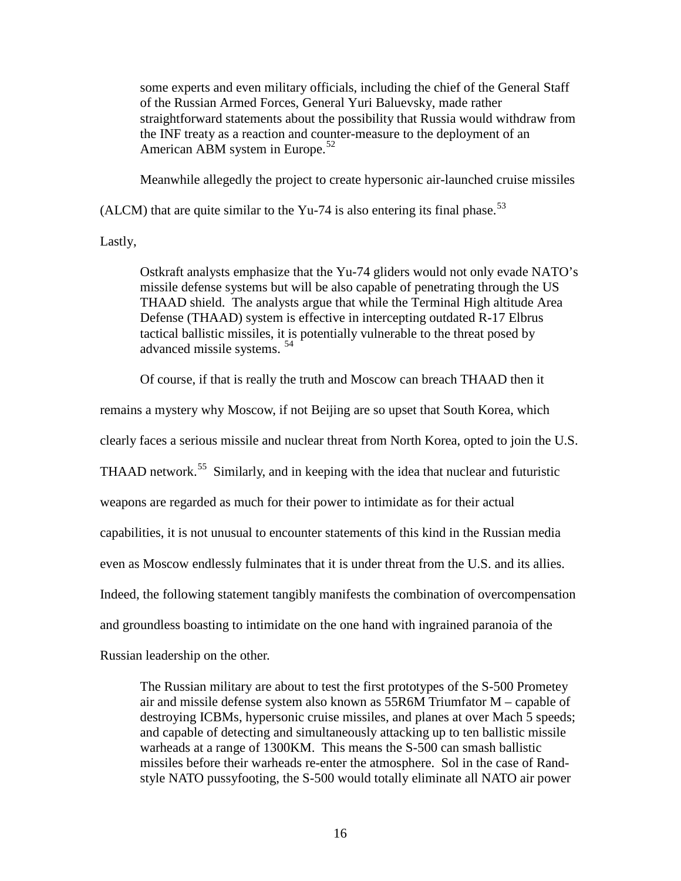some experts and even military officials, including the chief of the General Staff of the Russian Armed Forces, General Yuri Baluevsky, made rather straightforward statements about the possibility that Russia would withdraw from the INF treaty as a reaction and counter-measure to the deployment of an American ABM system in Europe.<sup>[52](#page-23-0)</sup>

Meanwhile allegedly the project to create hypersonic air-launched cruise missiles

(ALCM) that are quite similar to the Yu-74 is also entering its final phase.<sup>[53](#page-23-1)</sup>

<span id="page-15-2"></span><span id="page-15-1"></span><span id="page-15-0"></span>Lastly,

Ostkraft analysts emphasize that the Yu-74 gliders would not only evade NATO's missile defense systems but will be also capable of penetrating through the US THAAD shield. The analysts argue that while the Terminal High altitude Area Defense (THAAD) system is effective in intercepting outdated R-17 Elbrus tactical ballistic missiles, it is potentially vulnerable to the threat posed by advanced missile systems. [54](#page-23-2)

Of course, if that is really the truth and Moscow can breach THAAD then it

<span id="page-15-5"></span><span id="page-15-4"></span><span id="page-15-3"></span>remains a mystery why Moscow, if not Beijing are so upset that South Korea, which

clearly faces a serious missile and nuclear threat from North Korea, opted to join the U.S.

THAAD network.<sup>[55](#page-23-3)</sup> Similarly, and in keeping with the idea that nuclear and futuristic

weapons are regarded as much for their power to intimidate as for their actual

capabilities, it is not unusual to encounter statements of this kind in the Russian media

even as Moscow endlessly fulminates that it is under threat from the U.S. and its allies.

Indeed, the following statement tangibly manifests the combination of overcompensation

and groundless boasting to intimidate on the one hand with ingrained paranoia of the

Russian leadership on the other.

The Russian military are about to test the first prototypes of the S-500 Prometey air and missile defense system also known as 55R6M Triumfator M – capable of destroying ICBMs, hypersonic cruise missiles, and planes at over Mach 5 speeds; and capable of detecting and simultaneously attacking up to ten ballistic missile warheads at a range of 1300KM. This means the S-500 can smash ballistic missiles before their warheads re-enter the atmosphere. Sol in the case of Randstyle NATO pussyfooting, the S-500 would totally eliminate all NATO air power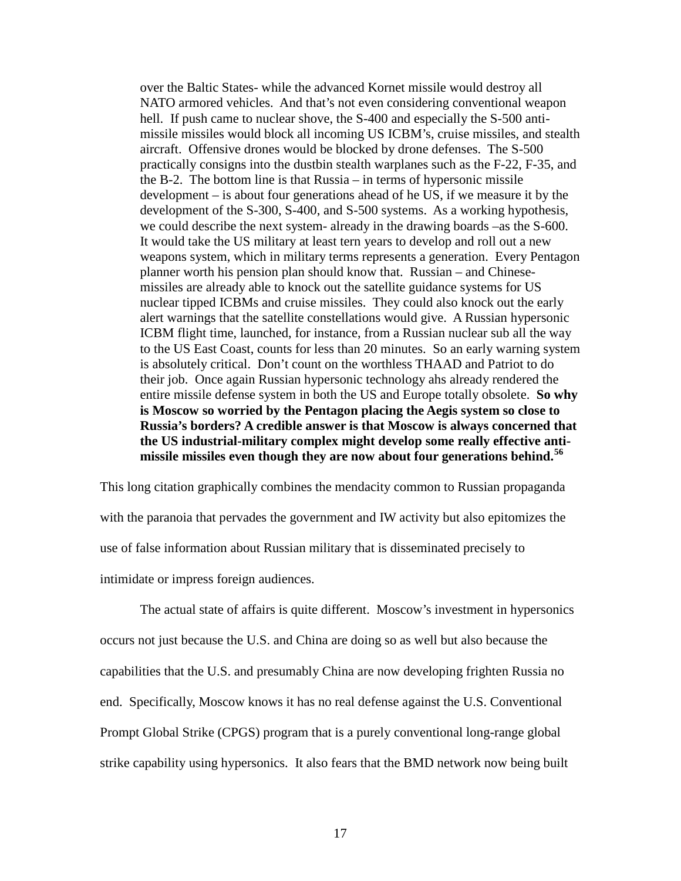over the Baltic States- while the advanced Kornet missile would destroy all NATO armored vehicles. And that's not even considering conventional weapon hell. If push came to nuclear shove, the S-400 and especially the S-500 antimissile missiles would block all incoming US ICBM's, cruise missiles, and stealth aircraft. Offensive drones would be blocked by drone defenses. The S-500 practically consigns into the dustbin stealth warplanes such as the F-22, F-35, and the B-2. The bottom line is that Russia – in terms of hypersonic missile development – is about four generations ahead of he US, if we measure it by the development of the S-300, S-400, and S-500 systems. As a working hypothesis, we could describe the next system- already in the drawing boards –as the S-600. It would take the US military at least tern years to develop and roll out a new weapons system, which in military terms represents a generation. Every Pentagon planner worth his pension plan should know that. Russian – and Chinesemissiles are already able to knock out the satellite guidance systems for US nuclear tipped ICBMs and cruise missiles. They could also knock out the early alert warnings that the satellite constellations would give. A Russian hypersonic ICBM flight time, launched, for instance, from a Russian nuclear sub all the way to the US East Coast, counts for less than 20 minutes. So an early warning system is absolutely critical. Don't count on the worthless THAAD and Patriot to do their job. Once again Russian hypersonic technology ahs already rendered the entire missile defense system in both the US and Europe totally obsolete. **So why is Moscow so worried by the Pentagon placing the Aegis system so close to Russia's borders? A credible answer is that Moscow is always concerned that the US industrial-military complex might develop some really effective antimissile missiles even though they are now about four generations behind.[56](#page-24-0)**

<span id="page-16-2"></span><span id="page-16-1"></span><span id="page-16-0"></span>This long citation graphically combines the mendacity common to Russian propaganda with the paranoia that pervades the government and IW activity but also epitomizes the use of false information about Russian military that is disseminated precisely to intimidate or impress foreign audiences.

The actual state of affairs is quite different. Moscow's investment in hypersonics occurs not just because the U.S. and China are doing so as well but also because the capabilities that the U.S. and presumably China are now developing frighten Russia no end. Specifically, Moscow knows it has no real defense against the U.S. Conventional Prompt Global Strike (CPGS) program that is a purely conventional long-range global strike capability using hypersonics. It also fears that the BMD network now being built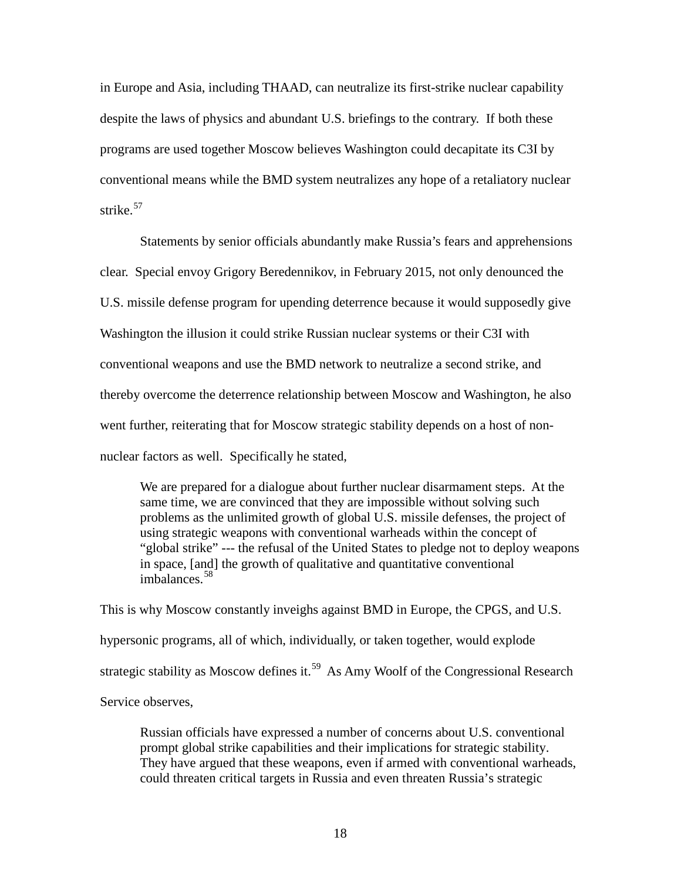in Europe and Asia, including THAAD, can neutralize its first-strike nuclear capability despite the laws of physics and abundant U.S. briefings to the contrary. If both these programs are used together Moscow believes Washington could decapitate its C3I by conventional means while the BMD system neutralizes any hope of a retaliatory nuclear strike.<sup>[57](#page-25-0)</sup>

Statements by senior officials abundantly make Russia's fears and apprehensions clear. Special envoy Grigory Beredennikov, in February 2015, not only denounced the U.S. missile defense program for upending deterrence because it would supposedly give Washington the illusion it could strike Russian nuclear systems or their C3I with conventional weapons and use the BMD network to neutralize a second strike, and thereby overcome the deterrence relationship between Moscow and Washington, he also went further, reiterating that for Moscow strategic stability depends on a host of nonnuclear factors as well. Specifically he stated,

We are prepared for a dialogue about further nuclear disarmament steps. At the same time, we are convinced that they are impossible without solving such problems as the unlimited growth of global U.S. missile defenses, the project of using strategic weapons with conventional warheads within the concept of "global strike" --- the refusal of the United States to pledge not to deploy weapons in space, [and] the growth of qualitative and quantitative conventional imbalances.[58](#page-25-1)

<span id="page-17-1"></span><span id="page-17-0"></span>This is why Moscow constantly inveighs against BMD in Europe, the CPGS, and U.S. hypersonic programs, all of which, individually, or taken together, would explode strategic stability as Moscow defines it.<sup>59</sup> As Amy Woolf of the Congressional Research Service observes,

Russian officials have expressed a number of concerns about U.S. conventional prompt global strike capabilities and their implications for strategic stability. They have argued that these weapons, even if armed with conventional warheads, could threaten critical targets in Russia and even threaten Russia's strategic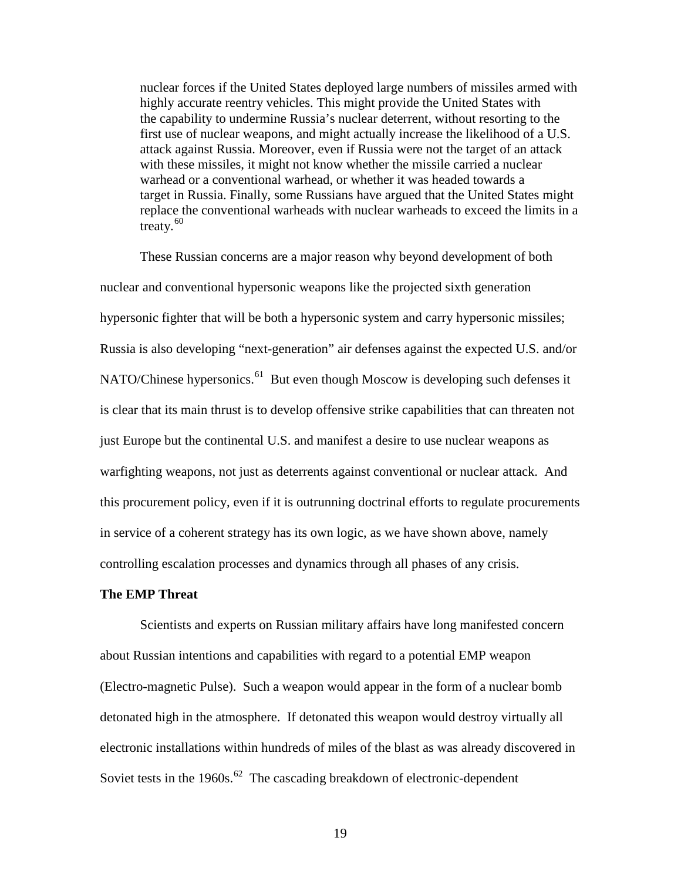nuclear forces if the United States deployed large numbers of missiles armed with highly accurate reentry vehicles. This might provide the United States with the capability to undermine Russia's nuclear deterrent, without resorting to the first use of nuclear weapons, and might actually increase the likelihood of a U.S. attack against Russia. Moreover, even if Russia were not the target of an attack with these missiles, it might not know whether the missile carried a nuclear warhead or a conventional warhead, or whether it was headed towards a target in Russia. Finally, some Russians have argued that the United States might replace the conventional warheads with nuclear warheads to exceed the limits in a treaty. $60$ 

These Russian concerns are a major reason why beyond development of both nuclear and conventional hypersonic weapons like the projected sixth generation hypersonic fighter that will be both a hypersonic system and carry hypersonic missiles; Russia is also developing "next-generation" air defenses against the expected U.S. and/or NATO/Chinese hypersonics.<sup>[61](#page-26-1)</sup> But even though Moscow is developing such defenses it is clear that its main thrust is to develop offensive strike capabilities that can threaten not just Europe but the continental U.S. and manifest a desire to use nuclear weapons as warfighting weapons, not just as deterrents against conventional or nuclear attack. And this procurement policy, even if it is outrunning doctrinal efforts to regulate procurements in service of a coherent strategy has its own logic, as we have shown above, namely controlling escalation processes and dynamics through all phases of any crisis.

# **The EMP Threat**

<span id="page-18-2"></span><span id="page-18-1"></span><span id="page-18-0"></span>Scientists and experts on Russian military affairs have long manifested concern about Russian intentions and capabilities with regard to a potential EMP weapon (Electro-magnetic Pulse). Such a weapon would appear in the form of a nuclear bomb detonated high in the atmosphere. If detonated this weapon would destroy virtually all electronic installations within hundreds of miles of the blast as was already discovered in Soviet tests in the  $1960s$ .<sup>[62](#page-26-2)</sup> The cascading breakdown of electronic-dependent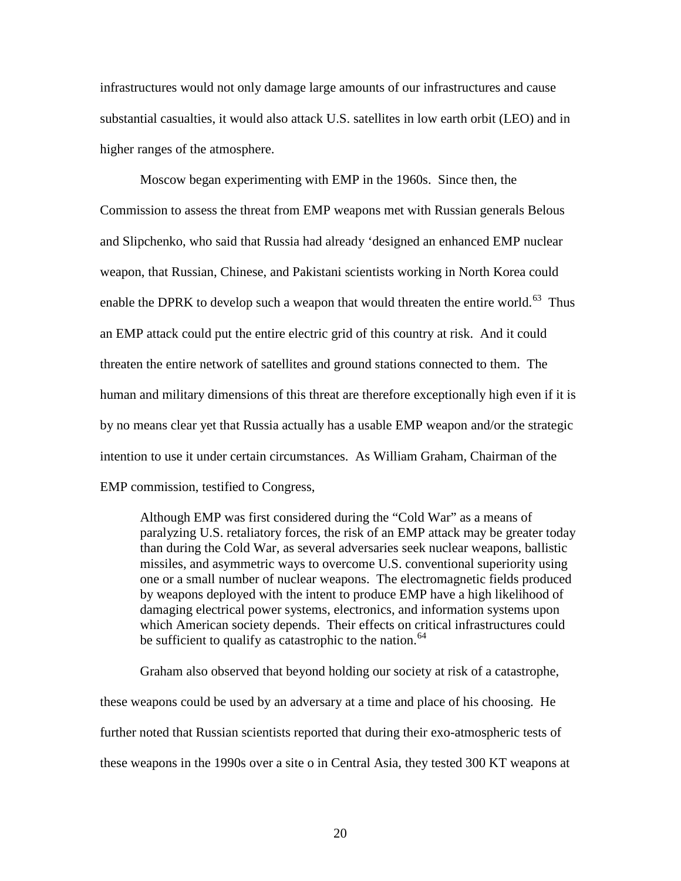<span id="page-19-1"></span>infrastructures would not only damage large amounts of our infrastructures and cause substantial casualties, it would also attack U.S. satellites in low earth orbit (LEO) and in higher ranges of the atmosphere.

<span id="page-19-4"></span><span id="page-19-3"></span><span id="page-19-2"></span>Moscow began experimenting with EMP in the 1960s. Since then, the Commission to assess the threat from EMP weapons met with Russian generals Belous and Slipchenko, who said that Russia had already 'designed an enhanced EMP nuclear weapon, that Russian, Chinese, and Pakistani scientists working in North Korea could enable the DPRK to develop such a weapon that would threaten the entire world.<sup>[63](#page-27-0)</sup> Thus an EMP attack could put the entire electric grid of this country at risk. And it could threaten the entire network of satellites and ground stations connected to them. The human and military dimensions of this threat are therefore exceptionally high even if it is by no means clear yet that Russia actually has a usable EMP weapon and/or the strategic intention to use it under certain circumstances. As William Graham, Chairman of the EMP commission, testified to Congress,

Although EMP was first considered during the "Cold War" as a means of paralyzing U.S. retaliatory forces, the risk of an EMP attack may be greater today than during the Cold War, as several adversaries seek nuclear weapons, ballistic missiles, and asymmetric ways to overcome U.S. conventional superiority using one or a small number of nuclear weapons. The electromagnetic fields produced by weapons deployed with the intent to produce EMP have a high likelihood of damaging electrical power systems, electronics, and information systems upon which American society depends. Their effects on critical infrastructures could be sufficient to qualify as catastrophic to the nation.<sup>[64](#page-27-1)</sup>

<span id="page-19-0"></span>Graham also observed that beyond holding our society at risk of a catastrophe, these weapons could be used by an adversary at a time and place of his choosing. He further noted that Russian scientists reported that during their exo-atmospheric tests of these weapons in the 1990s over a site o in Central Asia, they tested 300 KT weapons at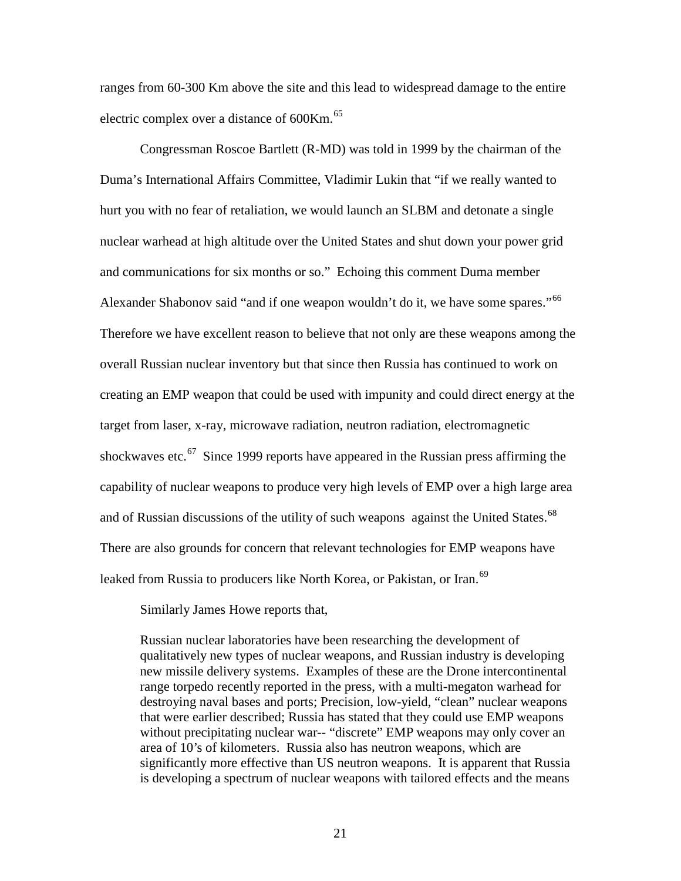ranges from 60-300 Km above the site and this lead to widespread damage to the entire electric complex over a distance of  $600Km<sup>65</sup>$  $600Km<sup>65</sup>$  $600Km<sup>65</sup>$ 

<span id="page-20-4"></span><span id="page-20-3"></span><span id="page-20-2"></span><span id="page-20-1"></span><span id="page-20-0"></span>Congressman Roscoe Bartlett (R-MD) was told in 1999 by the chairman of the Duma's International Affairs Committee, Vladimir Lukin that "if we really wanted to hurt you with no fear of retaliation, we would launch an SLBM and detonate a single nuclear warhead at high altitude over the United States and shut down your power grid and communications for six months or so." Echoing this comment Duma member Alexander Shabonov said "and if one weapon wouldn't do it, we have some spares."<sup>[66](#page-28-1)</sup> Therefore we have excellent reason to believe that not only are these weapons among the overall Russian nuclear inventory but that since then Russia has continued to work on creating an EMP weapon that could be used with impunity and could direct energy at the target from laser, x-ray, microwave radiation, neutron radiation, electromagnetic shockwaves etc.<sup>67</sup> Since 1999 reports have appeared in the Russian press affirming the capability of nuclear weapons to produce very high levels of EMP over a high large area and of Russian discussions of the utility of such weapons against the United States.<sup>[68](#page-28-3)</sup> There are also grounds for concern that relevant technologies for EMP weapons have leaked from Russia to producers like North Korea, or Pakistan, or Iran.<sup>[69](#page-28-4)</sup>

Similarly James Howe reports that,

Russian nuclear laboratories have been researching the development of qualitatively new types of nuclear weapons, and Russian industry is developing new missile delivery systems. Examples of these are the Drone intercontinental range torpedo recently reported in the press, with a multi-megaton warhead for destroying naval bases and ports; Precision, low-yield, "clean" nuclear weapons that were earlier described; Russia has stated that they could use EMP weapons without precipitating nuclear war-- "discrete" EMP weapons may only cover an area of 10's of kilometers. Russia also has neutron weapons, which are significantly more effective than US neutron weapons. It is apparent that Russia is developing a spectrum of nuclear weapons with tailored effects and the means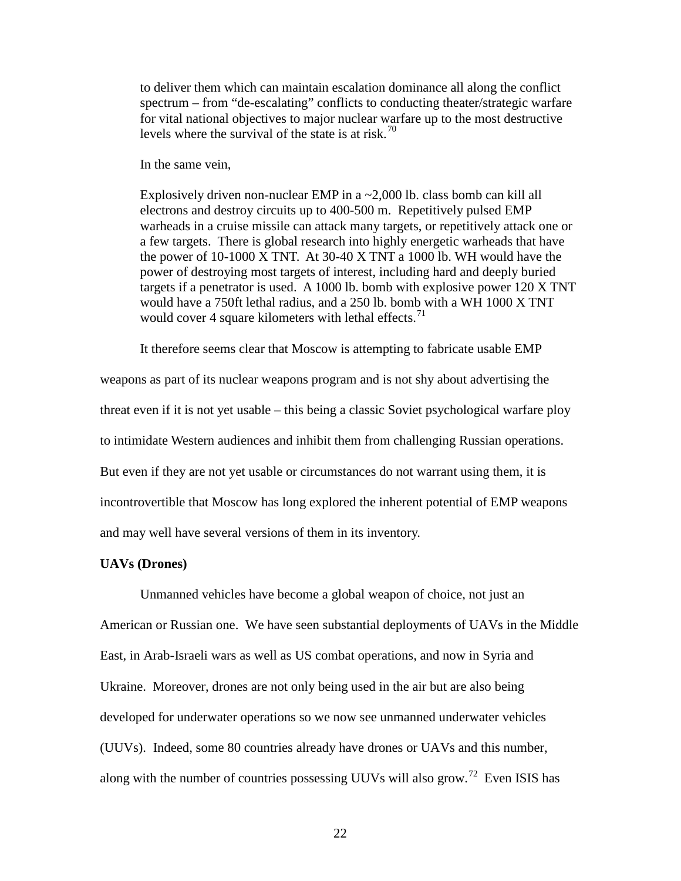to deliver them which can maintain escalation dominance all along the conflict spectrum – from "de-escalating" conflicts to conducting theater/strategic warfare for vital national objectives to major nuclear warfare up to the most destructive levels where the survival of the state is at risk.<sup>[70](#page-29-0)</sup>

In the same vein,

Explosively driven non-nuclear EMP in a ~2,000 lb. class bomb can kill all electrons and destroy circuits up to 400-500 m. Repetitively pulsed EMP warheads in a cruise missile can attack many targets, or repetitively attack one or a few targets. There is global research into highly energetic warheads that have the power of 10-1000 X TNT. At 30-40 X TNT a 1000 lb. WH would have the power of destroying most targets of interest, including hard and deeply buried targets if a penetrator is used. A 1000 lb. bomb with explosive power 120 X TNT would have a 750ft lethal radius, and a 250 lb. bomb with a WH 1000 X TNT would cover 4 square kilometers with lethal effects. $71$ 

It therefore seems clear that Moscow is attempting to fabricate usable EMP

<span id="page-21-3"></span><span id="page-21-2"></span><span id="page-21-1"></span><span id="page-21-0"></span>weapons as part of its nuclear weapons program and is not shy about advertising the threat even if it is not yet usable – this being a classic Soviet psychological warfare ploy to intimidate Western audiences and inhibit them from challenging Russian operations. But even if they are not yet usable or circumstances do not warrant using them, it is incontrovertible that Moscow has long explored the inherent potential of EMP weapons and may well have several versions of them in its inventory.

## **UAVs (Drones)**

Unmanned vehicles have become a global weapon of choice, not just an American or Russian one. We have seen substantial deployments of UAVs in the Middle East, in Arab-Israeli wars as well as US combat operations, and now in Syria and Ukraine. Moreover, drones are not only being used in the air but are also being developed for underwater operations so we now see unmanned underwater vehicles (UUVs). Indeed, some 80 countries already have drones or UAVs and this number, along with the number of countries possessing UUVs will also grow.<sup>72</sup> Even ISIS has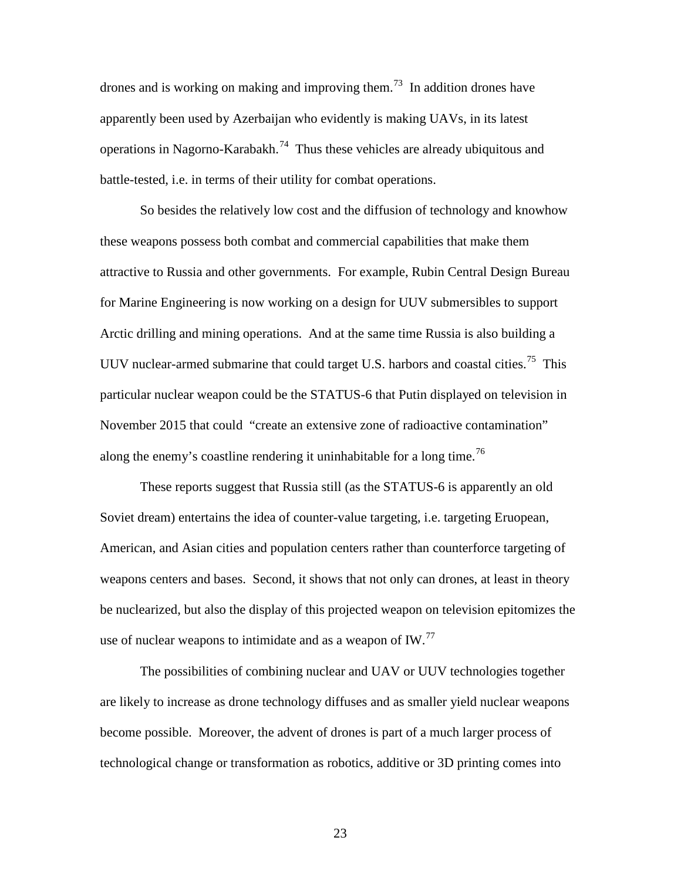drones and is working on making and improving them.<sup>[73](#page-30-0)</sup> In addition drones have apparently been used by Azerbaijan who evidently is making UAVs, in its latest operations in Nagorno-Karabakh.<sup>74</sup> Thus these vehicles are already ubiquitous and battle-tested, i.e. in terms of their utility for combat operations.

So besides the relatively low cost and the diffusion of technology and knowhow these weapons possess both combat and commercial capabilities that make them attractive to Russia and other governments. For example, Rubin Central Design Bureau for Marine Engineering is now working on a design for UUV submersibles to support Arctic drilling and mining operations. And at the same time Russia is also building a UUV nuclear-armed submarine that could target U.S. harbors and coastal cities.<sup>[75](#page-30-2)</sup> This particular nuclear weapon could be the STATUS-6 that Putin displayed on television in November 2015 that could "create an extensive zone of radioactive contamination" along the enemy's coastline rendering it uninhabitable for a long time.<sup>[76](#page-30-3)</sup>

<span id="page-22-3"></span><span id="page-22-2"></span><span id="page-22-1"></span><span id="page-22-0"></span>These reports suggest that Russia still (as the STATUS-6 is apparently an old Soviet dream) entertains the idea of counter-value targeting, i.e. targeting Eruopean, American, and Asian cities and population centers rather than counterforce targeting of weapons centers and bases. Second, it shows that not only can drones, at least in theory be nuclearized, but also the display of this projected weapon on television epitomizes the use of nuclear weapons to intimidate and as a weapon of  $IW.^{77}$  $IW.^{77}$  $IW.^{77}$ 

The possibilities of combining nuclear and UAV or UUV technologies together are likely to increase as drone technology diffuses and as smaller yield nuclear weapons become possible. Moreover, the advent of drones is part of a much larger process of technological change or transformation as robotics, additive or 3D printing comes into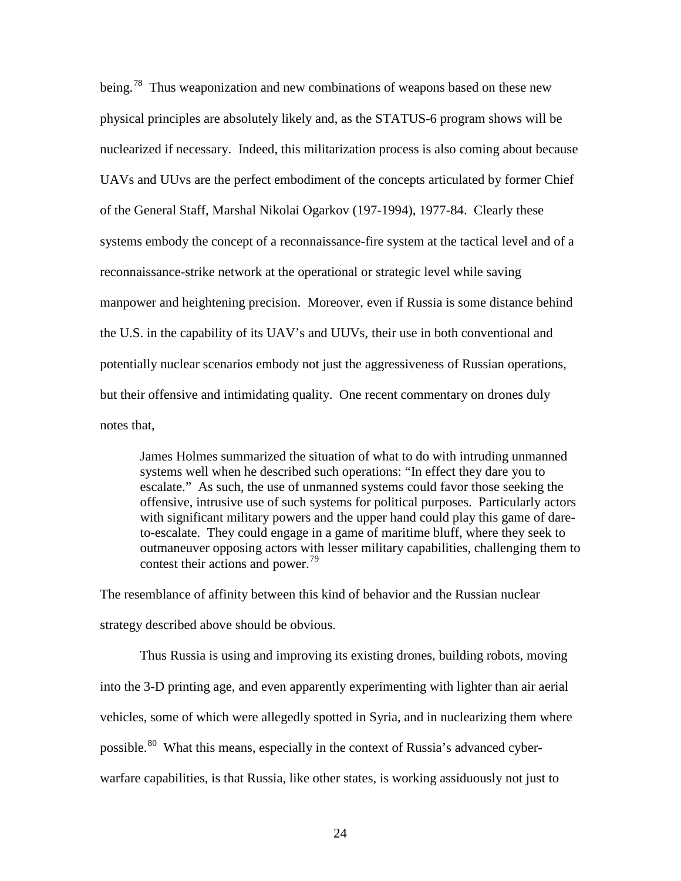being.<sup>[78](#page-31-0)</sup> Thus weaponization and new combinations of weapons based on these new physical principles are absolutely likely and, as the STATUS-6 program shows will be nuclearized if necessary. Indeed, this militarization process is also coming about because UAVs and UUvs are the perfect embodiment of the concepts articulated by former Chief of the General Staff, Marshal Nikolai Ogarkov (197-1994), 1977-84. Clearly these systems embody the concept of a reconnaissance-fire system at the tactical level and of a reconnaissance-strike network at the operational or strategic level while saving manpower and heightening precision. Moreover, even if Russia is some distance behind the U.S. in the capability of its UAV's and UUVs, their use in both conventional and potentially nuclear scenarios embody not just the aggressiveness of Russian operations, but their offensive and intimidating quality. One recent commentary on drones duly notes that,

James Holmes summarized the situation of what to do with intruding unmanned systems well when he described such operations: "In effect they dare you to escalate." As such, the use of unmanned systems could favor those seeking the offensive, intrusive use of such systems for political purposes. Particularly actors with significant military powers and the upper hand could play this game of dareto-escalate. They could engage in a game of maritime bluff, where they seek to outmaneuver opposing actors with lesser military capabilities, challenging them to contest their actions and power.<sup>[79](#page-31-1)</sup>

<span id="page-23-0"></span>The resemblance of affinity between this kind of behavior and the Russian nuclear strategy described above should be obvious.

<span id="page-23-3"></span><span id="page-23-2"></span><span id="page-23-1"></span>Thus Russia is using and improving its existing drones, building robots, moving into the 3-D printing age, and even apparently experimenting with lighter than air aerial vehicles, some of which were allegedly spotted in Syria, and in nuclearizing them where possible.<sup>[80](#page-31-2)</sup> What this means, especially in the context of Russia's advanced cyberwarfare capabilities, is that Russia, like other states, is working assiduously not just to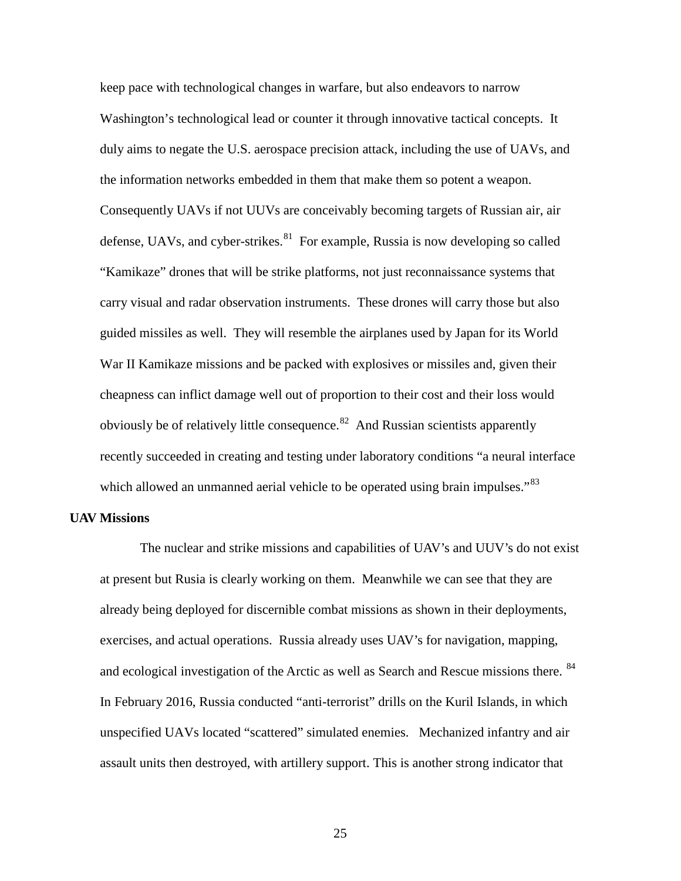keep pace with technological changes in warfare, but also endeavors to narrow Washington's technological lead or counter it through innovative tactical concepts. It duly aims to negate the U.S. aerospace precision attack, including the use of UAVs, and the information networks embedded in them that make them so potent a weapon. Consequently UAVs if not UUVs are conceivably becoming targets of Russian air, air defense, UAVs, and cyber-strikes. $81$  For example, Russia is now developing so called "Kamikaze" drones that will be strike platforms, not just reconnaissance systems that carry visual and radar observation instruments. These drones will carry those but also guided missiles as well. They will resemble the airplanes used by Japan for its World War II Kamikaze missions and be packed with explosives or missiles and, given their cheapness can inflict damage well out of proportion to their cost and their loss would obviously be of relatively little consequence. $82$  And Russian scientists apparently recently succeeded in creating and testing under laboratory conditions "a neural interface which allowed an unmanned aerial vehicle to be operated using brain impulses."<sup>[83](#page-32-2)</sup>

#### **UAV Missions**

<span id="page-24-0"></span>The nuclear and strike missions and capabilities of UAV's and UUV's do not exist at present but Rusia is clearly working on them. Meanwhile we can see that they are already being deployed for discernible combat missions as shown in their deployments, exercises, and actual operations. Russia already uses UAV's for navigation, mapping, and ecological investigation of the Arctic as well as Search and Rescue missions there. <sup>[84](#page-32-3)</sup> In February 2016, Russia conducted "anti-terrorist" drills on the Kuril Islands, in which unspecified UAVs located "scattered" simulated enemies. Mechanized infantry and air assault units then destroyed, with artillery support. This is another strong indicator that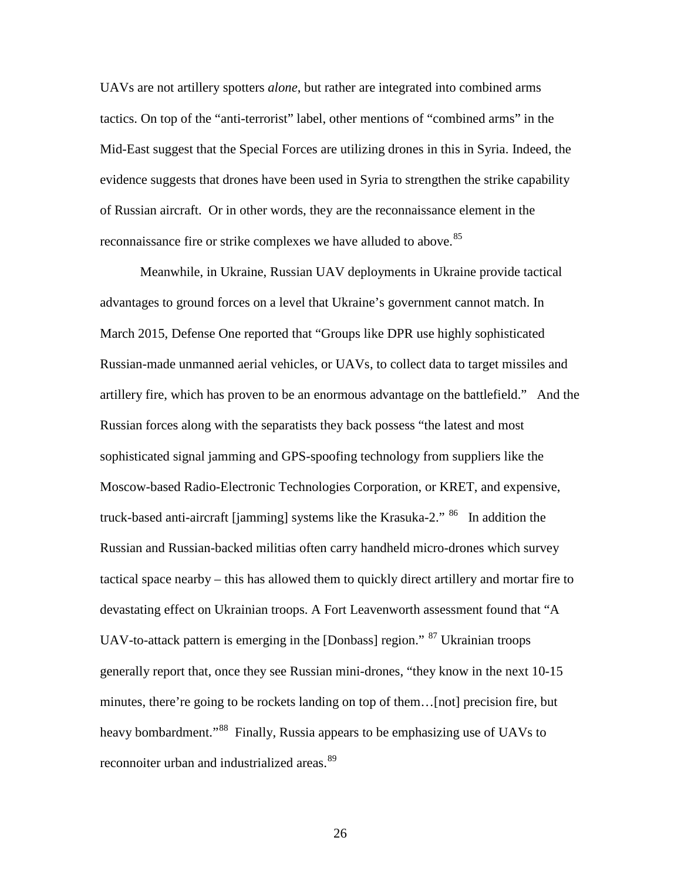<span id="page-25-2"></span>UAVs are not artillery spotters *alone*, but rather are integrated into combined arms tactics. On top of the "anti-terrorist" label, other mentions of "combined arms" in the Mid-East suggest that the Special Forces are utilizing drones in this in Syria. Indeed, the evidence suggests that drones have been used in Syria to strengthen the strike capability of Russian aircraft. Or in other words, they are the reconnaissance element in the reconnaissance fire or strike complexes we have alluded to above.<sup>[85](#page-33-0)</sup>

<span id="page-25-1"></span><span id="page-25-0"></span>Meanwhile, in Ukraine, Russian UAV deployments in Ukraine provide tactical advantages to ground forces on a level that Ukraine's government cannot match. In March 2015, Defense One reported that "Groups like DPR use highly sophisticated Russian-made unmanned aerial vehicles, or UAVs, to collect data to target missiles and artillery fire, which has proven to be an enormous advantage on the battlefield." And the Russian forces along with the separatists they back possess "the latest and most sophisticated signal jamming and GPS-spoofing technology from suppliers like the Moscow-based Radio-Electronic Technologies Corporation, or KRET, and expensive, truck-based anti-aircraft [jamming] systems like the Krasuka-2." <sup>[86](#page-33-1)</sup> In addition the Russian and Russian-backed militias often carry handheld micro-drones which survey tactical space nearby – this has allowed them to quickly direct artillery and mortar fire to devastating effect on Ukrainian troops. A Fort Leavenworth assessment found that "A UAV-to-attack pattern is emerging in the [Donbass] region." [87](#page-33-2) Ukrainian troops generally report that, once they see Russian mini-drones, "they know in the next 10-15 minutes, there're going to be rockets landing on top of them…[not] precision fire, but heavy bombardment."<sup>[88](#page-33-3)</sup> Finally, Russia appears to be emphasizing use of UAVs to reconnoiter urban and industrialized areas.<sup>[89](#page-33-4)</sup>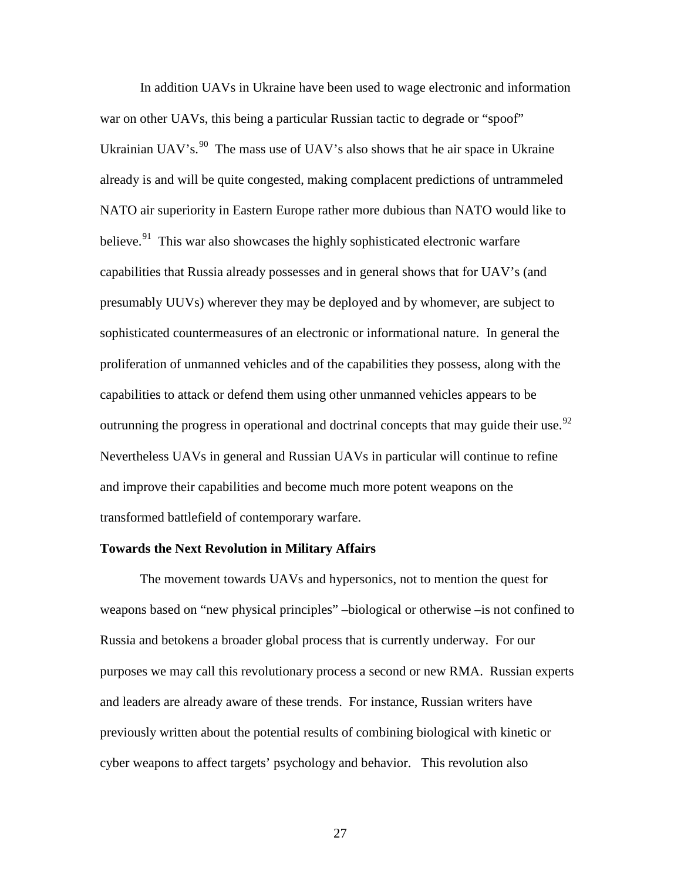<span id="page-26-2"></span><span id="page-26-1"></span><span id="page-26-0"></span>In addition UAVs in Ukraine have been used to wage electronic and information war on other UAVs, this being a particular Russian tactic to degrade or "spoof" Ukrainian UAV's. $90$  The mass use of UAV's also shows that he air space in Ukraine already is and will be quite congested, making complacent predictions of untrammeled NATO air superiority in Eastern Europe rather more dubious than NATO would like to believe.<sup>[91](#page-34-1)</sup> This war also showcases the highly sophisticated electronic warfare capabilities that Russia already possesses and in general shows that for UAV's (and presumably UUVs) wherever they may be deployed and by whomever, are subject to sophisticated countermeasures of an electronic or informational nature. In general the proliferation of unmanned vehicles and of the capabilities they possess, along with the capabilities to attack or defend them using other unmanned vehicles appears to be outrunning the progress in operational and doctrinal concepts that may guide their use.<sup>[92](#page-34-2)</sup> Nevertheless UAVs in general and Russian UAVs in particular will continue to refine and improve their capabilities and become much more potent weapons on the transformed battlefield of contemporary warfare.

# **Towards the Next Revolution in Military Affairs**

The movement towards UAVs and hypersonics, not to mention the quest for weapons based on "new physical principles" –biological or otherwise –is not confined to Russia and betokens a broader global process that is currently underway. For our purposes we may call this revolutionary process a second or new RMA. Russian experts and leaders are already aware of these trends. For instance, Russian writers have previously written about the potential results of combining biological with kinetic or cyber weapons to affect targets' psychology and behavior. This revolution also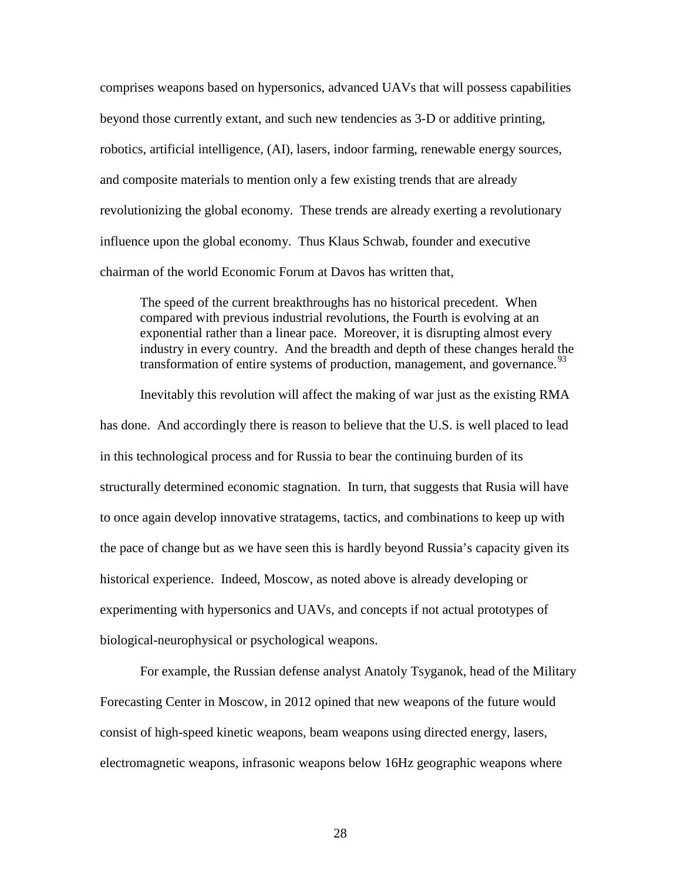comprises weapons based on hypersonics, advanced UAVs that will possess capabilities beyond those currently extant, and such new tendencies as 3-D or additive printing, robotics, artificial intelligence, (AI), lasers, indoor farming, renewable energy sources, and composite materials to mention only a few existing trends that are already revolutionizing the global economy. These trends are already exerting a revolutionary influence upon the global economy. Thus Klaus Schwab, founder and executive chairman of the world Economic Forum at Davos has written that,

<span id="page-27-0"></span>The speed of the current breakthroughs has no historical precedent. When compared with previous industrial revolutions, the Fourth is evolving at an exponential rather than a linear pace. Moreover, it is disrupting almost every industry in every country. And the breadth and depth of these changes herald the transformation of entire systems of production, management, and governance.<sup>[93](#page-35-0)</sup>

<span id="page-27-1"></span>Inevitably this revolution will affect the making of war just as the existing RMA has done. And accordingly there is reason to believe that the U.S. is well placed to lead in this technological process and for Russia to bear the continuing burden of its structurally determined economic stagnation. In turn, that suggests that Rusia will have to once again develop innovative stratagems, tactics, and combinations to keep up with the pace of change but as we have seen this is hardly beyond Russia's capacity given its historical experience. Indeed, Moscow, as noted above is already developing or experimenting with hypersonics and UAVs, and concepts if not actual prototypes of biological-neurophysical or psychological weapons.

For example, the Russian defense analyst Anatoly Tsyganok, head of the Military Forecasting Center in Moscow, in 2012 opined that new weapons of the future would consist of high-speed kinetic weapons, beam weapons using directed energy, lasers, electromagnetic weapons, infrasonic weapons below 16Hz geographic weapons where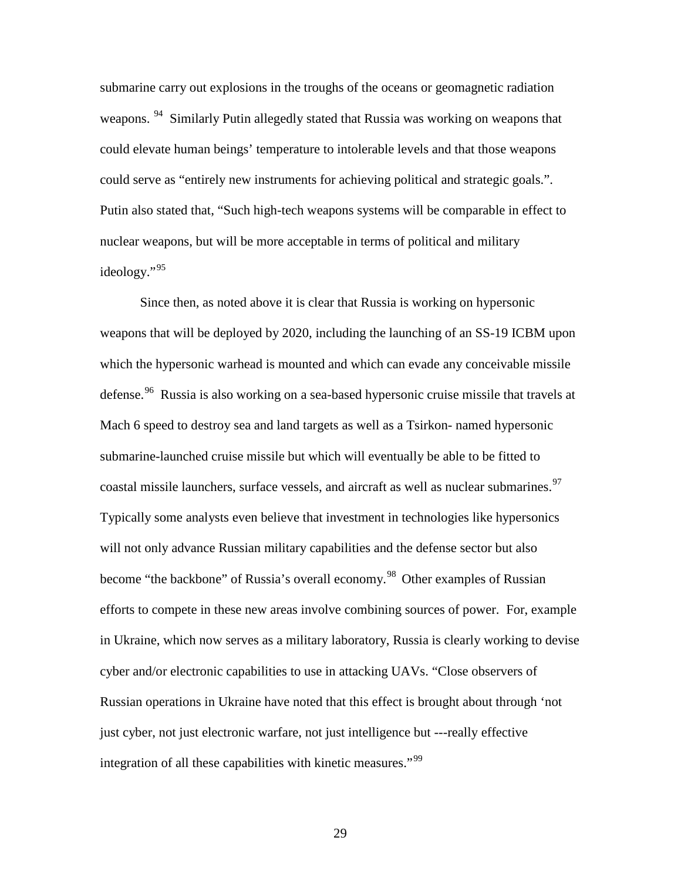submarine carry out explosions in the troughs of the oceans or geomagnetic radiation weapons. <sup>94</sup> Similarly Putin allegedly stated that Russia was working on weapons that could elevate human beings' temperature to intolerable levels and that those weapons could serve as "entirely new instruments for achieving political and strategic goals.". Putin also stated that, "Such high-tech weapons systems will be comparable in effect to nuclear weapons, but will be more acceptable in terms of political and military ideology."[95](#page-36-1)

<span id="page-28-4"></span><span id="page-28-3"></span><span id="page-28-2"></span><span id="page-28-1"></span><span id="page-28-0"></span>Since then, as noted above it is clear that Russia is working on hypersonic weapons that will be deployed by 2020, including the launching of an SS-19 ICBM upon which the hypersonic warhead is mounted and which can evade any conceivable missile defense.<sup>[96](#page-36-2)</sup> Russia is also working on a sea-based hypersonic cruise missile that travels at Mach 6 speed to destroy sea and land targets as well as a Tsirkon- named hypersonic submarine-launched cruise missile but which will eventually be able to be fitted to coastal missile launchers, surface vessels, and aircraft as well as nuclear submarines.<sup>[97](#page-36-3)</sup> Typically some analysts even believe that investment in technologies like hypersonics will not only advance Russian military capabilities and the defense sector but also become "the backbone" of Russia's overall economy.<sup>[98](#page-36-4)</sup> Other examples of Russian efforts to compete in these new areas involve combining sources of power. For, example in Ukraine, which now serves as a military laboratory, Russia is clearly working to devise cyber and/or electronic capabilities to use in attacking UAVs. "Close observers of Russian operations in Ukraine have noted that this effect is brought about through 'not just cyber, not just electronic warfare, not just intelligence but ---really effective integration of all these capabilities with kinetic measures."<sup>[99](#page-36-5)</sup>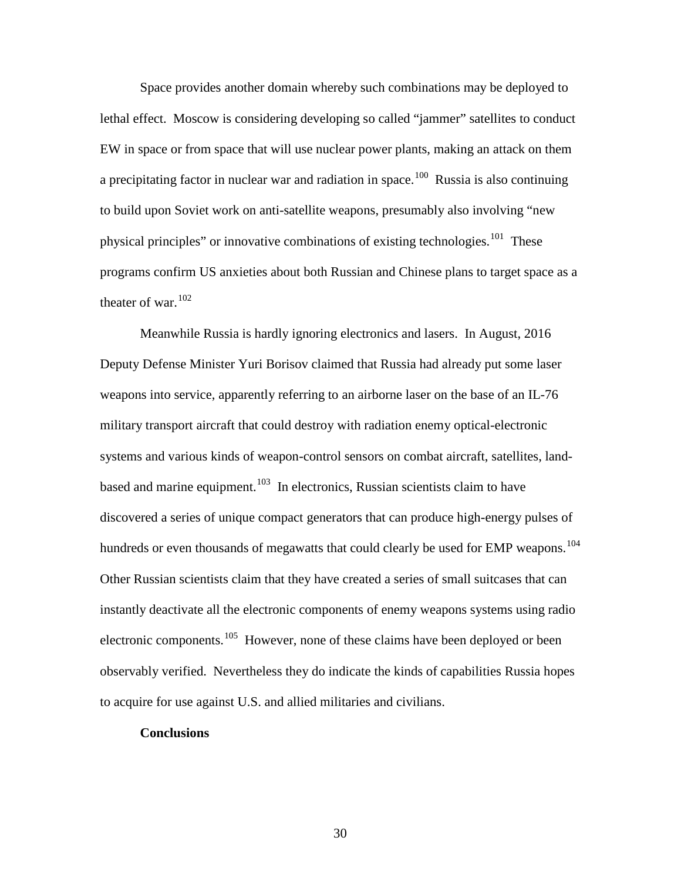Space provides another domain whereby such combinations may be deployed to lethal effect. Moscow is considering developing so called "jammer" satellites to conduct EW in space or from space that will use nuclear power plants, making an attack on them a precipitating factor in nuclear war and radiation in space.<sup>[100](#page-36-6)</sup> Russia is also continuing to build upon Soviet work on anti-satellite weapons, presumably also involving "new physical principles" or innovative combinations of existing technologies.<sup>[101](#page-36-7)</sup> These programs confirm US anxieties about both Russian and Chinese plans to target space as a theater of war.  $102$ 

<span id="page-29-2"></span><span id="page-29-1"></span><span id="page-29-0"></span>Meanwhile Russia is hardly ignoring electronics and lasers. In August, 2016 Deputy Defense Minister Yuri Borisov claimed that Russia had already put some laser weapons into service, apparently referring to an airborne laser on the base of an IL-76 military transport aircraft that could destroy with radiation enemy optical-electronic systems and various kinds of weapon-control sensors on combat aircraft, satellites, land-based and marine equipment.<sup>[103](#page-36-9)</sup> In electronics, Russian scientists claim to have discovered a series of unique compact generators that can produce high-energy pulses of hundreds or even thousands of megawatts that could clearly be used for EMP weapons.<sup>[104](#page-36-10)</sup> Other Russian scientists claim that they have created a series of small suitcases that can instantly deactivate all the electronic components of enemy weapons systems using radio electronic components.<sup>[105](#page-36-11)</sup> However, none of these claims have been deployed or been observably verified. Nevertheless they do indicate the kinds of capabilities Russia hopes to acquire for use against U.S. and allied militaries and civilians.

## **Conclusions**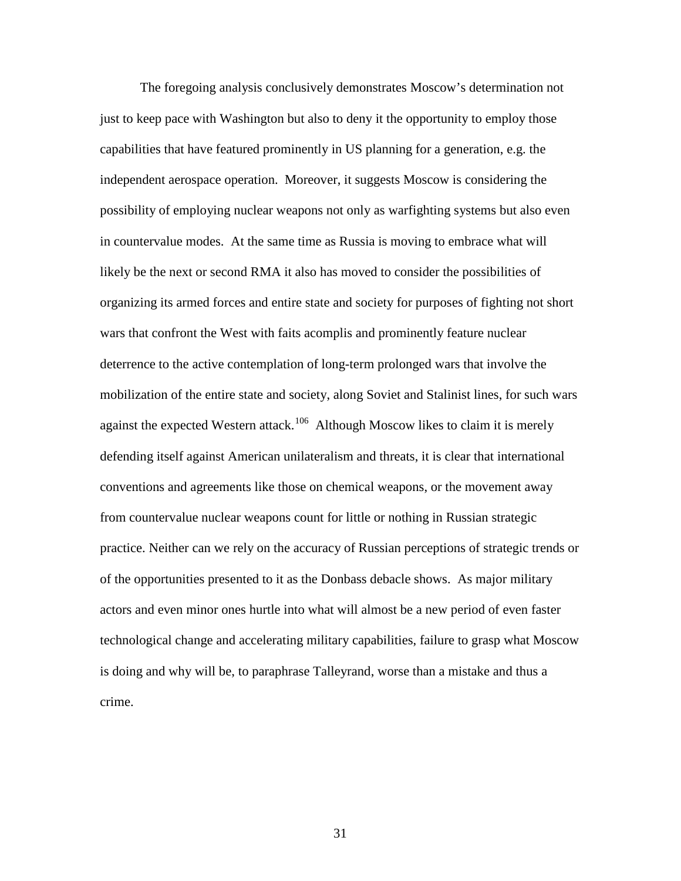<span id="page-30-4"></span><span id="page-30-3"></span><span id="page-30-2"></span><span id="page-30-1"></span><span id="page-30-0"></span>The foregoing analysis conclusively demonstrates Moscow's determination not just to keep pace with Washington but also to deny it the opportunity to employ those capabilities that have featured prominently in US planning for a generation, e.g. the independent aerospace operation. Moreover, it suggests Moscow is considering the possibility of employing nuclear weapons not only as warfighting systems but also even in countervalue modes. At the same time as Russia is moving to embrace what will likely be the next or second RMA it also has moved to consider the possibilities of organizing its armed forces and entire state and society for purposes of fighting not short wars that confront the West with faits acomplis and prominently feature nuclear deterrence to the active contemplation of long-term prolonged wars that involve the mobilization of the entire state and society, along Soviet and Stalinist lines, for such wars against the expected Western attack.<sup>106</sup> Although Moscow likes to claim it is merely defending itself against American unilateralism and threats, it is clear that international conventions and agreements like those on chemical weapons, or the movement away from countervalue nuclear weapons count for little or nothing in Russian strategic practice. Neither can we rely on the accuracy of Russian perceptions of strategic trends or of the opportunities presented to it as the Donbass debacle shows. As major military actors and even minor ones hurtle into what will almost be a new period of even faster technological change and accelerating military capabilities, failure to grasp what Moscow is doing and why will be, to paraphrase Talleyrand, worse than a mistake and thus a crime.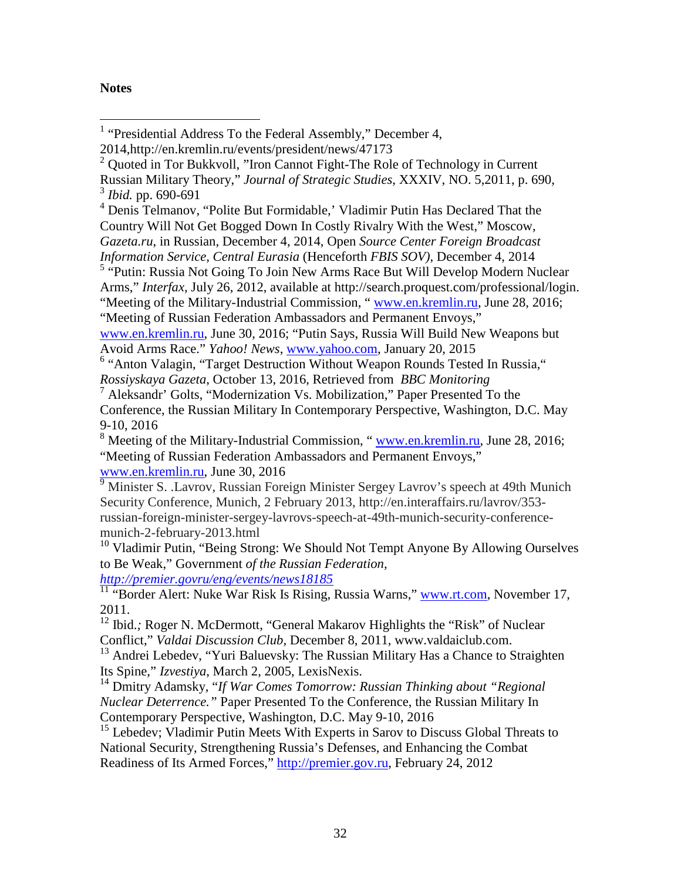# <span id="page-31-2"></span>**Notes**

<sup>4</sup> Denis Telmanov, "Polite But Formidable,' Vladimir Putin Has Declared That the Country Will Not Get Bogged Down In Costly Rivalry With the West," Moscow, *Gazeta.ru*, in Russian, December 4, 2014, Open *Source Center Foreign Broadcast Information Service, Central Eurasia* (Henceforth *FBIS SOV)*, December 4, 2014

<sup>5</sup> "Putin: Russia Not Going To Join New Arms Race But Will Develop Modern Nuclear Arms," *Interfax*, July 26, 2012, available at http://search.proquest.com/professional/login. "Meeting of the Military-Industrial Commission, " [www.en.kremlin.ru,](http://www.en.kremlin.ru/) June 28, 2016;

[www.en.kremlin.ru,](http://www.en.kremlihjn.ru/) June 30, 2016; "Putin Says, Russia Will Build New Weapons but Avoid Arms Race." *Yahoo! News*, [www.yahoo.com,](http://www.yahoo.com/) January 20, 2015

<sup>6</sup> "Anton Valagin, "Target Destruction Without Weapon Rounds Tested In Russia," *Rossiyskaya Gazeta*, October 13, 2016, Retrieved from *BBC Monitoring*

<sup>7</sup> Aleksandr' Golts, "Modernization Vs. Mobilization," Paper Presented To the Conference, the Russian Military In Contemporary Perspective, Washington, D.C. May 9-10, 2016

<sup>8</sup> Meeting of the Military-Industrial Commission, "www.en.kremlin.ru, June 28, 2016; "Meeting of Russian Federation Ambassadors and Permanent Envoys," [www.en.kremlin.ru,](http://www.en.kremlihjn.ru/) June 30, 2016

9 [Minister](http://en.interaffairs.ru/lavrov/) S. .Lavrov, Russian Foreign Minister Sergey Lavrov's speech at 49th Munich Security Conference, Munich, 2 February 2013, http://en.interaffairs.ru/lavrov/353 russian-foreign-minister-sergey-lavrovs-speech-at-49th-munich-security-conferencemunich-2-february-2013.html

 $10$  Vladimir Putin, "Being Strong: We Should Not Tempt Anyone By Allowing Ourselves to Be Weak," Government *of the Russian Federation, <http://premier.govru/eng/events/news18185>*

<sup>11</sup> "Border Alert: Nuke War Risk Is Rising, Russia Warns," [www.rt.com,](http://www.rt.com/) November 17, 2011.

<sup>13</sup> Andrei Lebedev, "Yuri Baluevsky: The Russian Military Has a Chance to Straighten

Its Spine," *Izvestiya*, March 2, 2005, LexisNexis. <sup>14</sup> Dmitry Adamsky, "*If War Comes Tomorrow: Russian Thinking about "Regional Nuclear Deterrence."* Paper Presented To the Conference, the Russian Military In Contemporary Perspective, Washington, D.C. May 9-10, 2016

<span id="page-31-1"></span><span id="page-31-0"></span><sup>15</sup> Lebedev; Vladimir Putin Meets With Experts in Sarov to Discuss Global Threats to National Security, Strengthening Russia's Defenses, and Enhancing the Combat Readiness of Its Armed Forces," [http://premier.gov.ru,](http://premier.gov.ru/) February 24, 2012

<sup>&</sup>lt;sup>1</sup> "Presidential Address To the Federal Assembly," December 4,

<sup>2014,</sup>http://en.kremlin.ru/events/president/news/47173

<sup>&</sup>lt;sup>2</sup> Quoted in Tor Bukkvoll, "Iron Cannot Fight-The Role of Technology in Current Russian Military Theory," *Journal of Strategic Studies*, XXXIV, NO. 5,2011, p. 690, <sup>3</sup> *Ibid.* pp. 690-691

<sup>&</sup>quot;Meeting of Russian Federation Ambassadors and Permanent Envoys,"

<sup>&</sup>lt;sup>12</sup> Ibid.; Roger N. McDermott, "General Makarov Highlights the "Risk" of Nuclear Conflict," *Valdai Discussion Club,* December 8, 2011, www.valdaiclub.com.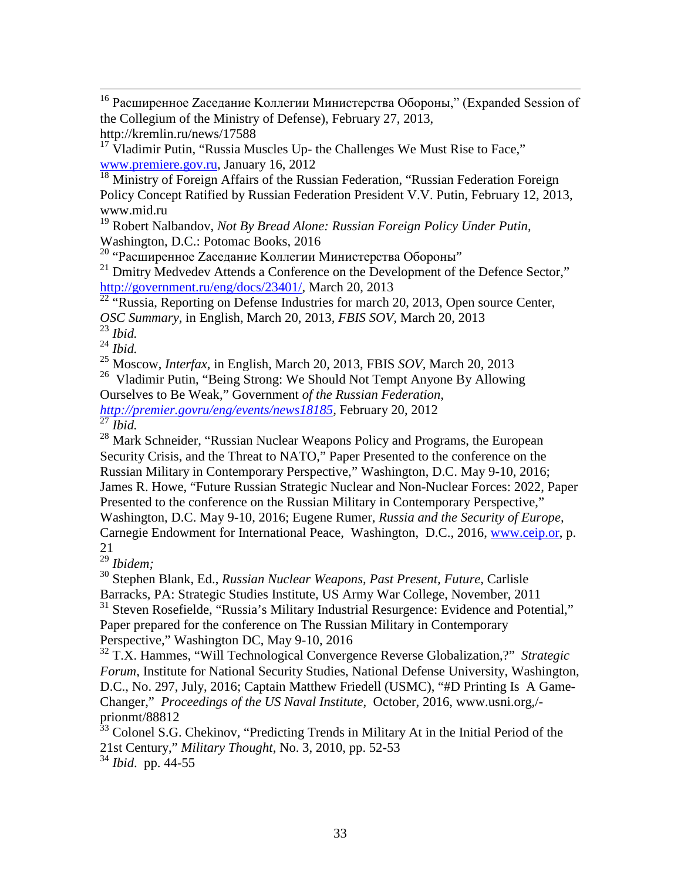<sup>16</sup> Расширенное Zаседание Коллегии Министерства Обороны," (Expanded Session of the Collegium of the Ministry of Defense), February 27, 2013,

http://kremlin.ru/news/17588

<span id="page-32-0"></span> $17$  Vladimir Putin, "Russia Muscles Up- the Challenges We Must Rise to Face," [www.premiere.gov.ru,](http://www.premiere.gov.ru/) January 16, 2012

<sup>18</sup> Ministry of Foreign Affairs of the Russian Federation, "Russian Federation Foreign Policy Concept Ratified by Russian Federation President V.V. Putin, February 12, 2013, www.mid.ru

<sup>19</sup> Robert Nalbandov, *Not By Bread Alone: Russian Foreign Policy Under Putin,*  Washington, D.C.: Potomac Books, 2016

<span id="page-32-1"></span>Washington, D.C., I Groma Doom, D.C., Co.

<span id="page-32-2"></span><sup>21</sup> Dmitry Medvedev Attends a Conference on the Development of the Defence Sector," [http://government.ru/eng/docs/23401/,](http://government.ru/eng/docs/23401/) March 20, 2013

<span id="page-32-3"></span><sup>22</sup> "Russia, Reporting on Defense Industries for march 20, 2013, Open source Center, *OSC Summary,* in English, March 20, 2013*, FBIS SOV,* March 20, 2013

<sup>23</sup> *Ibid.*

<sup>24</sup> *Ibid.*

<sup>25</sup> Moscow, *Interfax*, in English, March 20, 2013, FBIS *SOV,* March 20, 2013

<sup>26</sup> Vladimir Putin, "Being Strong: We Should Not Tempt Anyone By Allowing

Ourselves to Be Weak," Government *of the Russian Federation,* 

*[http://premier.govru/eng/events/news18185,](http://premier.govru/eng/events/news18185)* February 20, 2012 <sup>27</sup> *Ibid.*

<sup>28</sup> Mark Schneider, "Russian Nuclear Weapons Policy and Programs, the European Security Crisis, and the Threat to NATO," Paper Presented to the conference on the Russian Military in Contemporary Perspective," Washington, D.C. May 9-10, 2016; James R. Howe, "Future Russian Strategic Nuclear and Non-Nuclear Forces: 2022, Paper Presented to the conference on the Russian Military in Contemporary Perspective," Washington, D.C. May 9-10, 2016; Eugene Rumer, *Russia and the Security of Europe,* Carnegie Endowment for International Peace, Washington, D.C., 2016, [www.ceip.or,](http://www.ceip.or/) p. 21

<sup>29</sup> *Ibidem;*

<sup>30</sup> Stephen Blank, Ed., *Russian Nuclear Weapons, Past Present, Future*, Carlisle Barracks, PA: Strategic Studies Institute, US Army War College, November, 2011  $31$  Steven Rosefielde, "Russia's Military Industrial Resurgence: Evidence and Potential," Paper prepared for the conference on The Russian Military in Contemporary Perspective," Washington DC, May 9-10, 2016

<sup>32</sup> T.X. Hammes, "Will Technological Convergence Reverse Globalization,?" *Strategic Forum*, Institute for National Security Studies, National Defense University, Washington, D.C., No. 297, July, 2016; Captain Matthew Friedell (USMC), "#D Printing Is A Game-Changer," *Proceedings of the US Naval Institute,* October, 2016, www.usni.org,/ prionmt/88812

<sup>33</sup> Colonel S.G. Chekinov, "Predicting Trends in Military At in the Initial Period of the 21st Century," *Military Thought*, No. 3, 2010, pp. 52-53

<sup>34</sup> *Ibid*. pp. 44-55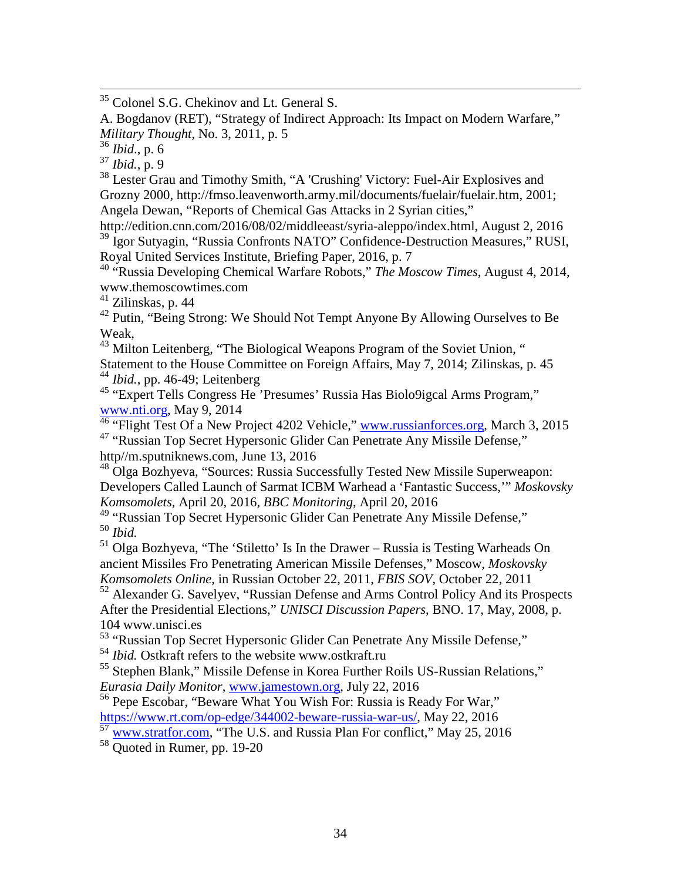<sup>35</sup> Colonel S.G. Chekinov and Lt. General S.

A. Bogdanov (RET), "Strategy of Indirect Approach: Its Impact on Modern Warfare," *Military Thought*, No. 3, 2011, p. 5

<sup>36</sup> *Ibid*., p. 6

<sup>37</sup> *Ibid.*, p. 9

<sup>38</sup> Lester Grau and Timothy Smith, "A 'Crushing' Victory: Fuel-Air Explosives and Grozny 2000, [http://fmso.leavenworth.army.mil/documents/fuelair/fuelair.htm,](http://fmso.leavenworth.army.mil/documents/fuelair/fuelair.htm) 2001; Angela Dewan, "Reports of Chemical Gas Attacks in 2 Syrian cities,"

[http://edition.cnn.com/2016/08/02/middleeast/syria-aleppo/index.html,](http://edition.cnn.com/2016/08/02/middleeast/syria-aleppo/index.html) August 2, 2016 <sup>39</sup> Igor Sutyagin, "Russia Confronts NATO" Confidence-Destruction Measures," RUSI, Royal United Services Institute, Briefing Paper, 2016, p. 7

<sup>40</sup> "Russia Developing Chemical Warfare Robots," *The Moscow Times*, August 4, 2014, www.themoscowtimes.com

<sup>41</sup> Zilinskas, p. 44

 $42$  Putin, "Being Strong: We Should Not Tempt Anyone By Allowing Ourselves to Be Weak,

<sup>43</sup> Milton Leitenberg, "The Biological Weapons Program of the Soviet Union, "

Statement to the House Committee on Foreign Affairs, May 7, 2014; Zilinskas, p. 45 <sup>44</sup> *Ibid.*, pp. 46-49; Leitenberg

<span id="page-33-0"></span><sup>45</sup> "Expert Tells Congress He 'Presumes' Russia Has Biolo9igcal Arms Program," [www.nti.org,](http://www.nti.org/) May 9, 2014

<sup>46</sup> "Flight Test Of a New Project 4202 Vehicle," [www.russianforces.org,](http://www.russianforces.org/) March 3, 2015 <sup>47</sup> "Russian Top Secret Hypersonic Glider Can Penetrate Any Missile Defense,"

<span id="page-33-1"></span>http//m.sputniknews.com, June 13, 2016 <sup>48</sup> Olga Bozhyeva, "Sources: Russia Successfully Tested New Missile Superweapon:

Developers Called Launch of Sarmat ICBM Warhead a 'Fantastic Success,'" *Moskovsky Komsomolets,* April 20, 2016*, BBC Monitoring*, April 20, 2016

<span id="page-33-2"></span><sup>49</sup> "Russian Top Secret Hypersonic Glider Can Penetrate Any Missile Defense," <sup>50</sup> *Ibid.*

<sup>51</sup> Olga Bozhyeva, "The 'Stiletto' Is In the Drawer – Russia is Testing Warheads On ancient Missiles Fro Penetrating American Missile Defenses," Moscow, *Moskovsky Komsomolets Online*, in Russian October 22, 2011, *FBIS SOV*, October 22, 2011

<span id="page-33-3"></span><sup>52</sup> Alexander G. Savelyev, "Russian Defense and Arms Control Policy And its Prospects After the Presidential Elections," *UNISCI Discussion Papers*, BNO. 17, May, 2008, p. 104 www.unisci.es

<span id="page-33-4"></span><sup>53</sup> "Russian Top Secret Hypersonic Glider Can Penetrate Any Missile Defense,"

<sup>54</sup> *Ibid.* Ostkraft refers to the website www.ostkraft.ru

<sup>55</sup> Stephen Blank," Missile Defense in Korea Further Roils US-Russian Relations," *Eurasia Daily Monitor*, [www.jamestown.org,](http://www.jamestown.org/) July 22, 2016

<sup>56</sup> Pepe Escobar, "Beware What You Wish For: Russia is Ready For War," [https://www.rt.com/op-edge/344002-beware-russia-war-us/,](https://www.rt.com/op-edge/344002-beware-russia-war-us/) May 22, 2016

<sup>57</sup> [www.stratfor.com,](http://www.stratfor.com/) "The U.S. and Russia Plan For conflict," May 25, 2016

<sup>58</sup> Quoted in Rumer, pp. 19-20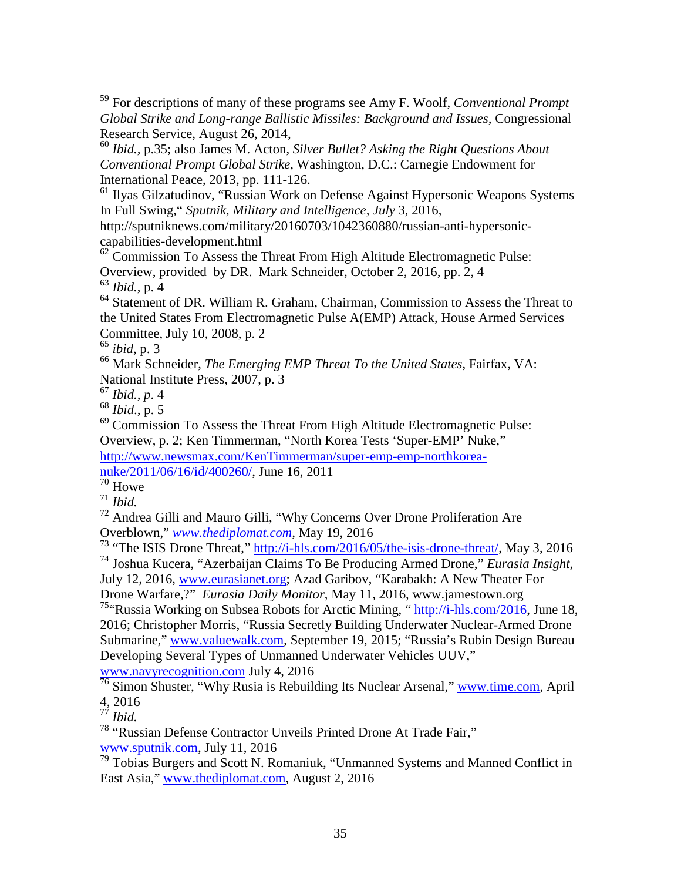59 For descriptions of many of these programs see Amy F. Woolf, *Conventional Prompt Global Strike and Long-range Ballistic Missiles: Background and Issues,* Congressional Research Service, August 26, 2014,

<sup>60</sup> *Ibid.,* p.35; also James M. Acton, *Silver Bullet? Asking the Right Questions About Conventional Prompt Global Strike,* Washington, D.C.: Carnegie Endowment for International Peace, 2013, pp. 111-126.

<sup>61</sup> Ilyas Gilzatudinov, "Russian Work on Defense Against Hypersonic Weapons Systems In Full Swing," *Sputnik, Military and Intelligence, July* 3, 2016,

http://sputniknews.com/military/20160703/1042360880/russian-anti-hypersoniccapabilities-development.html

 $62$  Commission To Assess the Threat From High Altitude Electromagnetic Pulse: Overview, provided by DR. Mark Schneider, October 2, 2016, pp. 2, 4 <sup>63</sup> *Ibid.*, p. 4

<sup>64</sup> Statement of DR. William R. Graham, Chairman, Commission to Assess the Threat to the United States From Electromagnetic Pulse A(EMP) Attack, House Armed Services Committee, July 10, 2008, p. 2

<sup>65</sup> *ibid*, p. 3

<sup>66</sup> Mark Schneider, *The Emerging EMP Threat To the United States*, Fairfax, VA: National Institute Press, 2007, p. 3

<sup>67</sup> *Ibid., p*. 4

<sup>68</sup> *Ibid*., p. 5

<sup>69</sup> Commission To Assess the Threat From High Altitude Electromagnetic Pulse: Overview, p. 2; Ken Timmerman, "North Korea Tests 'Super-EMP' Nuke," [http://www.newsmax.com/KenTimmerman/super-emp-emp-northkorea](http://www.newsmax.com/KenTimmerman/super-emp-emp-northkorea-nuke/2011/06/16/id/400260/)[nuke/2011/06/16/id/400260/,](http://www.newsmax.com/KenTimmerman/super-emp-emp-northkorea-nuke/2011/06/16/id/400260/) June 16, 2011

 $\frac{1}{70}$  Howe

<sup>71</sup> *Ibid.*

<sup>72</sup> Andrea Gilli and Mauro Gilli, "Why Concerns Over Drone Proliferation Are Overblown," *[www.thediplomat.com,](http://www.thediplomat.com/)* May 19, 2016

<sup>73</sup> "The ISIS Drone Threat," [http://i-hls.com/2016/05/the-isis-drone-threat/,](http://i-hls.com/2016/05/the-isis-drone-threat/) May 3, 2016 <sup>74</sup> Joshua Kucera, "Azerbaijan Claims To Be Producing Armed Drone," *Eurasia Insight*,

July 12, 2016, [www.eurasianet.org;](http://www.eurasianet.org/) Azad Garibov, "Karabakh: A New Theater For Drone Warfare,?" *Eurasia Daily Monitor*, May 11, 2016, www.jamestown.org

<sup>75</sup>"Russia Working on Subsea Robots for Arctic Mining, " $\frac{http://i-hls.com/2016}{http://i-hls.com/2016}$ , June 18, 2016; Christopher Morris, "Russia Secretly Building Underwater Nuclear-Armed Drone Submarine," [www.valuewalk.com,](http://www.valuewalk.com/) September 19, 2015; "Russia's Rubin Design Bureau Developing Several Types of Unmanned Underwater Vehicles UUV," [www.navyrecognition.com](http://www.navyrecognition.com/) July 4, 2016

<span id="page-34-2"></span><span id="page-34-1"></span><span id="page-34-0"></span> $\frac{76}{76}$  Simon Shuster, "Why Rusia is Rebuilding Its Nuclear Arsenal," [www.time.com,](http://www.time.com/) April 4, 2016

<sup>78</sup> "Russian Defense Contractor Unveils Printed Drone At Trade Fair," [www.sputnik.com,](http://www.sputnik.com/) July 11, 2016

 $\frac{79}{79}$  Tobias Burgers and Scott N. Romaniuk, "Unmanned Systems and Manned Conflict in East Asia," [www.thediplomat.com,](http://www.thediplomat.com/) August 2, 2016

<sup>77</sup> *Ibid.*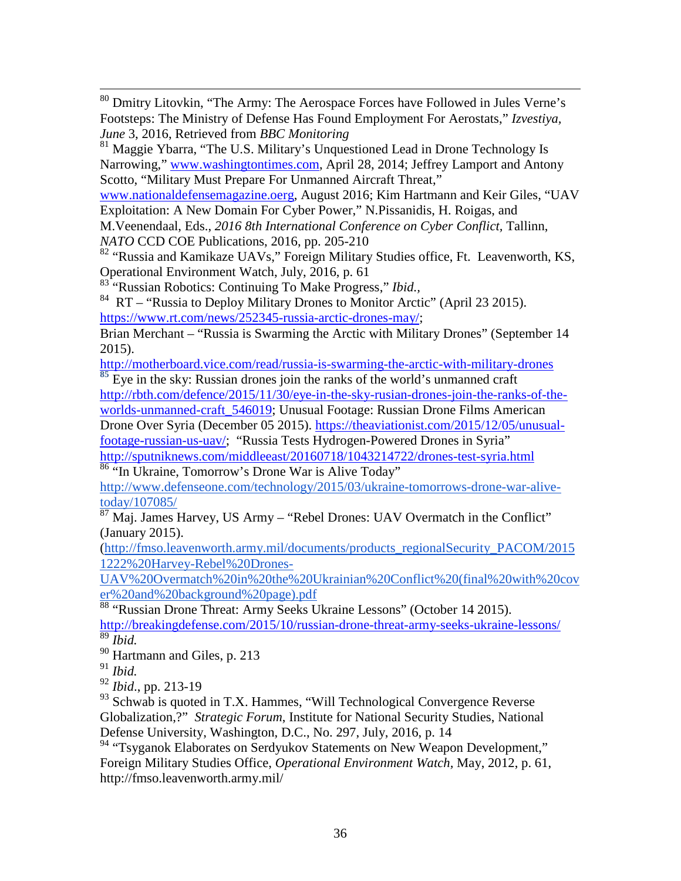80 Dmitry Litovkin, "The Army: The Aerospace Forces have Followed in Jules Verne's Footsteps: The Ministry of Defense Has Found Employment For Aerostats," *Izvestiya, June* 3, 2016, Retrieved from *BBC Monitoring*

<sup>81</sup> Maggie Ybarra, "The U.S. Military's Unquestioned Lead in Drone Technology Is Narrowing," [www.washingtontimes.com,](http://www.washingtontimes.com/) April 28, 2014; Jeffrey Lamport and Antony Scotto, "Military Must Prepare For Unmanned Aircraft Threat,"

[www.nationaldefensemagazine.oerg,](http://www.nationaldefensemagazine.oerg/) August 2016; Kim Hartmann and Keir Giles, "UAV Exploitation: A New Domain For Cyber Power," N.Pissanidis, H. Roigas, and

M.Veenendaal, Eds., *2016 8th International Conference on Cyber Conflict,* Tallinn, *NATO* CCD COE Publications, 2016, pp. 205-210

<sup>82</sup> "Russia and Kamikaze UAVs," Foreign Military Studies office, Ft. Leavenworth, KS, Operational Environment Watch, July, 2016, p. 61

<sup>83</sup> "Russian Robotics: Continuing To Make Progress," *Ibid.,* 

 $84$  RT – "Russia to Deploy Military Drones to Monitor Arctic" (April 23 2015). [https://www.rt.com/news/252345-russia-arctic-drones-may/;](https://www.rt.com/news/252345-russia-arctic-drones-may/)

Brian Merchant – "Russia is Swarming the Arctic with Military Drones" (September 14 2015).

<http://motherboard.vice.com/read/russia-is-swarming-the-arctic-with-military-drones> **<sup>85</sup>** Eye in the sky: Russian drones join the ranks of the world's unmanned craft

[http://rbth.com/defence/2015/11/30/eye-in-the-sky-rusian-drones-join-the-ranks-of-the](http://rbth.com/defence/2015/11/30/eye-in-the-sky-rusian-drones-join-the-ranks-of-the-worlds-unmanned-craft_546019)worlds-unmanned-craft 546019; Unusual Footage: Russian Drone Films American

Drone Over Syria (December 05 2015). [https://theaviationist.com/2015/12/05/unusual](https://theaviationist.com/2015/12/05/unusual-footage-russian-us-uav/)[footage-russian-us-uav/;](https://theaviationist.com/2015/12/05/unusual-footage-russian-us-uav/) "Russia Tests Hydrogen-Powered Drones in Syria"

<http://sputniknews.com/middleeast/20160718/1043214722/drones-test-syria.html> <sup>86</sup> "In Ukraine, Tomorrow's Drone War is Alive Today"

[http://www.defenseone.com/technology/2015/03/ukraine-tomorrows-drone-war-alive](http://www.defenseone.com/technology/2015/03/ukraine-tomorrows-drone-war-alive-today/107085/)[today/107085/](http://www.defenseone.com/technology/2015/03/ukraine-tomorrows-drone-war-alive-today/107085/)

 $\frac{87 \text{ Maj. James} H$ arvey, US Army – "Rebel Drones: UAV Overmatch in the Conflict" (January 2015).

[\(http://fmso.leavenworth.army.mil/documents/products\\_regionalSecurity\\_PACOM/2015](http://fmso.leavenworth.army.mil/documents/products_regionalSecurity_PACOM/20151222%20Harvey-Rebel%20Drones-UAV%20Overmatch%20in%20the%20Ukrainian%20Conflict%20(final%20with%20cover%20and%20background%20page).pdf) [1222%20Harvey-Rebel%20Drones-](http://fmso.leavenworth.army.mil/documents/products_regionalSecurity_PACOM/20151222%20Harvey-Rebel%20Drones-UAV%20Overmatch%20in%20the%20Ukrainian%20Conflict%20(final%20with%20cover%20and%20background%20page).pdf)

[UAV%20Overmatch%20in%20the%20Ukrainian%20Conflict%20\(final%20with%20cov](http://fmso.leavenworth.army.mil/documents/products_regionalSecurity_PACOM/20151222%20Harvey-Rebel%20Drones-UAV%20Overmatch%20in%20the%20Ukrainian%20Conflict%20(final%20with%20cover%20and%20background%20page).pdf) [er%20and%20background%20page\).pdf](http://fmso.leavenworth.army.mil/documents/products_regionalSecurity_PACOM/20151222%20Harvey-Rebel%20Drones-UAV%20Overmatch%20in%20the%20Ukrainian%20Conflict%20(final%20with%20cover%20and%20background%20page).pdf)

<sup>88</sup> "Russian Drone Threat: Army Seeks Ukraine Lessons" (October 14 2015). <http://breakingdefense.com/2015/10/russian-drone-threat-army-seeks-ukraine-lessons/>

<sup>89</sup> *Ibid.*

<sup>90</sup> Hartmann and Giles, p. 213

<sup>91</sup> *Ibid.*

<sup>92</sup> *Ibid*., pp. 213-19

<span id="page-35-0"></span><sup>93</sup> Schwab is quoted in T.X. Hammes, "Will Technological Convergence Reverse" Globalization,?" *Strategic Forum*, Institute for National Security Studies, National Defense University, Washington, D.C., No. 297, July, 2016, p. 14

<sup>94</sup> "Tsyganok Elaborates on Serdyukov Statements on New Weapon Development," Foreign Military Studies Office, *Operational Environment Watch,* May, 2012, p. 61, http://fmso.leavenworth.army.mil/